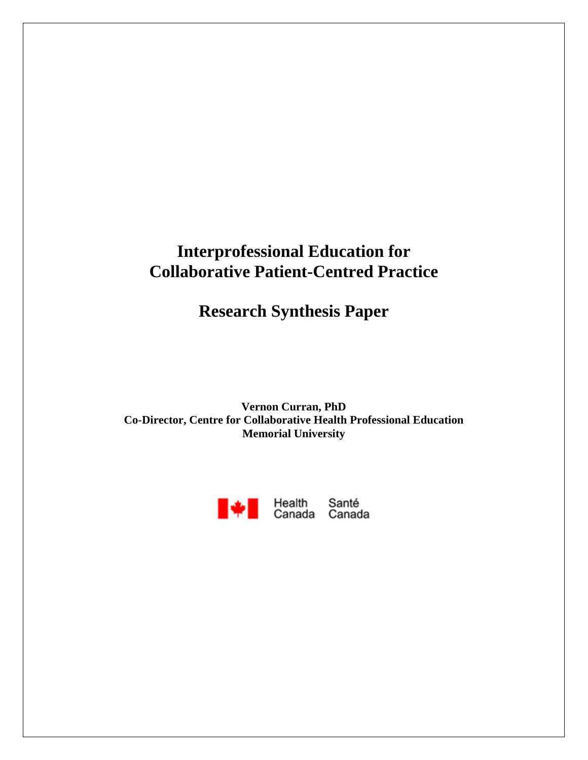# **Interprofessional Education for Collaborative Patient-Centred Practice**

**Research Synthesis Paper** 

**Vernon Curran, PhD Co-Director, Centre for Collaborative Health Professional Education Memorial University** 



Health Santé<br>Canada Canada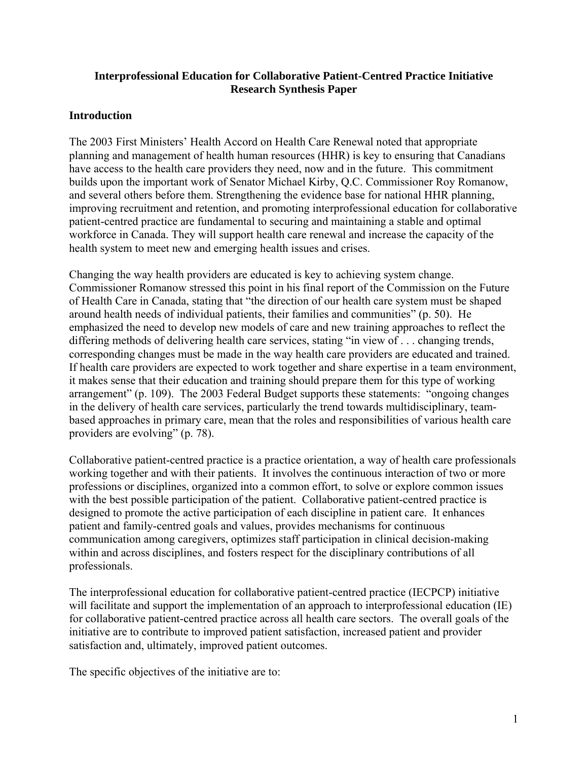#### **Interprofessional Education for Collaborative Patient-Centred Practice Initiative Research Synthesis Paper**

#### **Introduction**

The 2003 First Ministers' Health Accord on Health Care Renewal noted that appropriate planning and management of health human resources (HHR) is key to ensuring that Canadians have access to the health care providers they need, now and in the future. This commitment builds upon the important work of Senator Michael Kirby, Q.C. Commissioner Roy Romanow, and several others before them. Strengthening the evidence base for national HHR planning, improving recruitment and retention, and promoting interprofessional education for collaborative patient-centred practice are fundamental to securing and maintaining a stable and optimal workforce in Canada. They will support health care renewal and increase the capacity of the health system to meet new and emerging health issues and crises.

Changing the way health providers are educated is key to achieving system change. Commissioner Romanow stressed this point in his final report of the Commission on the Future of Health Care in Canada, stating that "the direction of our health care system must be shaped around health needs of individual patients, their families and communities" (p. 50). He emphasized the need to develop new models of care and new training approaches to reflect the differing methods of delivering health care services, stating "in view of . . . changing trends, corresponding changes must be made in the way health care providers are educated and trained. If health care providers are expected to work together and share expertise in a team environment, it makes sense that their education and training should prepare them for this type of working arrangement" (p. 109). The 2003 Federal Budget supports these statements: "ongoing changes in the delivery of health care services, particularly the trend towards multidisciplinary, teambased approaches in primary care, mean that the roles and responsibilities of various health care providers are evolving" (p. 78).

Collaborative patient-centred practice is a practice orientation, a way of health care professionals working together and with their patients. It involves the continuous interaction of two or more professions or disciplines, organized into a common effort, to solve or explore common issues with the best possible participation of the patient. Collaborative patient-centred practice is designed to promote the active participation of each discipline in patient care. It enhances patient and family-centred goals and values, provides mechanisms for continuous communication among caregivers, optimizes staff participation in clinical decision-making within and across disciplines, and fosters respect for the disciplinary contributions of all professionals.

The interprofessional education for collaborative patient-centred practice (IECPCP) initiative will facilitate and support the implementation of an approach to interprofessional education (IE) for collaborative patient-centred practice across all health care sectors. The overall goals of the initiative are to contribute to improved patient satisfaction, increased patient and provider satisfaction and, ultimately, improved patient outcomes.

The specific objectives of the initiative are to: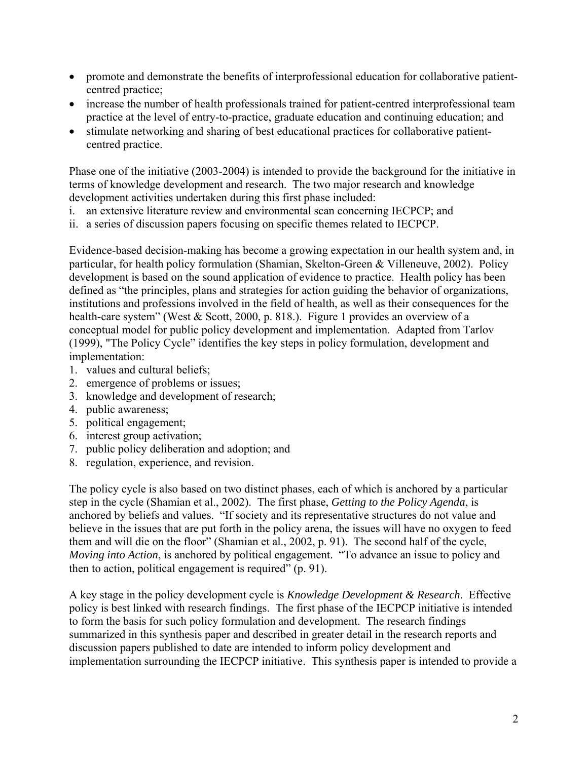- promote and demonstrate the benefits of interprofessional education for collaborative patientcentred practice;
- increase the number of health professionals trained for patient-centred interprofessional team practice at the level of entry-to-practice, graduate education and continuing education; and
- stimulate networking and sharing of best educational practices for collaborative patientcentred practice.

Phase one of the initiative (2003-2004) is intended to provide the background for the initiative in terms of knowledge development and research. The two major research and knowledge development activities undertaken during this first phase included:

- i. an extensive literature review and environmental scan concerning IECPCP; and
- ii. a series of discussion papers focusing on specific themes related to IECPCP.

Evidence-based decision-making has become a growing expectation in our health system and, in particular, for health policy formulation (Shamian, Skelton-Green & Villeneuve, 2002). Policy development is based on the sound application of evidence to practice. Health policy has been defined as "the principles, plans and strategies for action guiding the behavior of organizations, institutions and professions involved in the field of health, as well as their consequences for the health-care system" (West & Scott, 2000, p. 818.). Figure 1 provides an overview of a conceptual model for public policy development and implementation. Adapted from Tarlov (1999), "The Policy Cycle" identifies the key steps in policy formulation, development and implementation:

- 1. values and cultural beliefs;
- 2. emergence of problems or issues;
- 3. knowledge and development of research;
- 4. public awareness;
- 5. political engagement;
- 6. interest group activation;
- 7. public policy deliberation and adoption; and
- 8. regulation, experience, and revision.

The policy cycle is also based on two distinct phases, each of which is anchored by a particular step in the cycle (Shamian et al., 2002). The first phase, *Getting to the Policy Agenda*, is anchored by beliefs and values. "If society and its representative structures do not value and believe in the issues that are put forth in the policy arena, the issues will have no oxygen to feed them and will die on the floor" (Shamian et al., 2002, p. 91). The second half of the cycle, *Moving into Action*, is anchored by political engagement. "To advance an issue to policy and then to action, political engagement is required" (p. 91).

A key stage in the policy development cycle is *Knowledge Development & Research*. Effective policy is best linked with research findings. The first phase of the IECPCP initiative is intended to form the basis for such policy formulation and development. The research findings summarized in this synthesis paper and described in greater detail in the research reports and discussion papers published to date are intended to inform policy development and implementation surrounding the IECPCP initiative. This synthesis paper is intended to provide a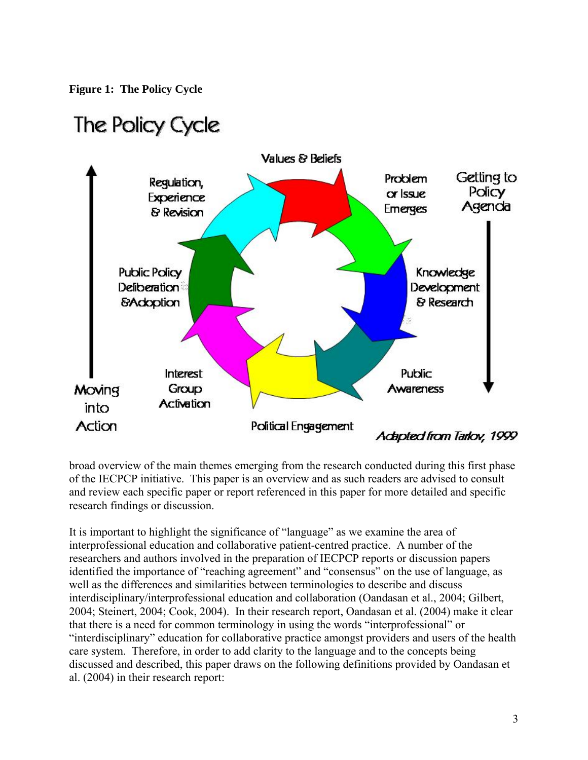#### **Figure 1: The Policy Cycle**

# The Policy Cycle



broad overview of the main themes emerging from the research conducted during this first phase of the IECPCP initiative. This paper is an overview and as such readers are advised to consult and review each specific paper or report referenced in this paper for more detailed and specific research findings or discussion.

It is important to highlight the significance of "language" as we examine the area of interprofessional education and collaborative patient-centred practice. A number of the researchers and authors involved in the preparation of IECPCP reports or discussion papers identified the importance of "reaching agreement" and "consensus" on the use of language, as well as the differences and similarities between terminologies to describe and discuss interdisciplinary/interprofessional education and collaboration (Oandasan et al., 2004; Gilbert, 2004; Steinert, 2004; Cook, 2004). In their research report, Oandasan et al. (2004) make it clear that there is a need for common terminology in using the words "interprofessional" or "interdisciplinary" education for collaborative practice amongst providers and users of the health care system. Therefore, in order to add clarity to the language and to the concepts being discussed and described, this paper draws on the following definitions provided by Oandasan et al. (2004) in their research report: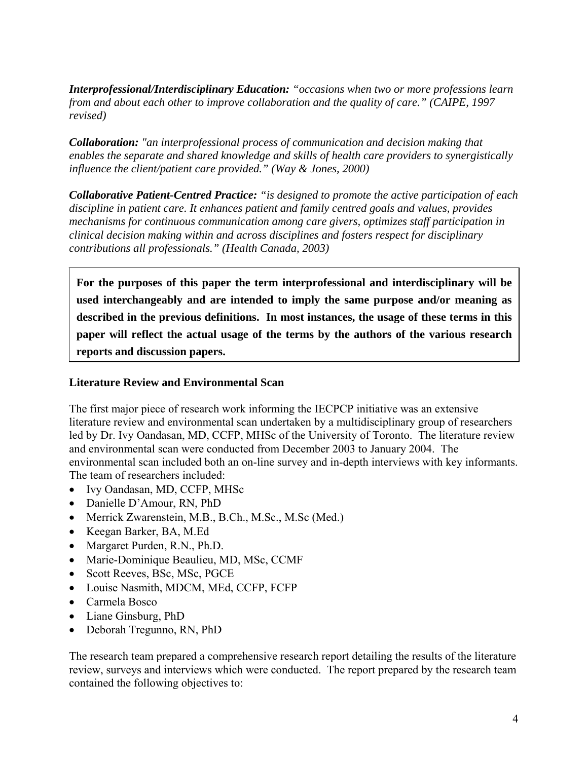*Interprofessional/Interdisciplinary Education: "occasions when two or more professions learn from and about each other to improve collaboration and the quality of care." (CAIPE, 1997 revised)*

*Collaboration: "an interprofessional process of communication and decision making that enables the separate and shared knowledge and skills of health care providers to synergistically influence the client/patient care provided." (Way & Jones, 2000)* 

*Collaborative Patient-Centred Practice: "is designed to promote the active participation of each discipline in patient care. It enhances patient and family centred goals and values, provides mechanisms for continuous communication among care givers, optimizes staff participation in clinical decision making within and across disciplines and fosters respect for disciplinary contributions all professionals." (Health Canada, 2003)* 

**For the purposes of this paper the term interprofessional and interdisciplinary will be used interchangeably and are intended to imply the same purpose and/or meaning as described in the previous definitions. In most instances, the usage of these terms in this paper will reflect the actual usage of the terms by the authors of the various research reports and discussion papers.** 

#### **Literature Review and Environmental Scan**

The first major piece of research work informing the IECPCP initiative was an extensive literature review and environmental scan undertaken by a multidisciplinary group of researchers led by Dr. Ivy Oandasan, MD, CCFP, MHSc of the University of Toronto. The literature review and environmental scan were conducted from December 2003 to January 2004. The environmental scan included both an on-line survey and in-depth interviews with key informants. The team of researchers included:

- Ivy Oandasan, MD, CCFP, MHSc
- Danielle D'Amour, RN, PhD
- Merrick Zwarenstein, M.B., B.Ch., M.Sc., M.Sc (Med.)
- Keegan Barker, BA, M.Ed
- Margaret Purden, R.N., Ph.D.
- Marie-Dominique Beaulieu, MD, MSc, CCMF
- Scott Reeves, BSc, MSc, PGCE
- Louise Nasmith, MDCM, MEd, CCFP, FCFP
- Carmela Bosco
- Liane Ginsburg, PhD
- Deborah Tregunno, RN, PhD

The research team prepared a comprehensive research report detailing the results of the literature review, surveys and interviews which were conducted. The report prepared by the research team contained the following objectives to: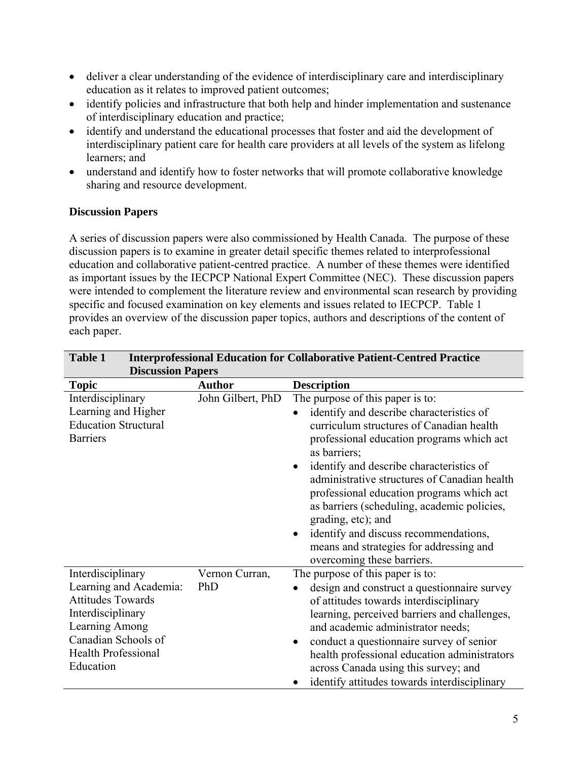- deliver a clear understanding of the evidence of interdisciplinary care and interdisciplinary education as it relates to improved patient outcomes;
- identify policies and infrastructure that both help and hinder implementation and sustenance of interdisciplinary education and practice;
- identify and understand the educational processes that foster and aid the development of interdisciplinary patient care for health care providers at all levels of the system as lifelong learners; and
- understand and identify how to foster networks that will promote collaborative knowledge sharing and resource development.

#### **Discussion Papers**

A series of discussion papers were also commissioned by Health Canada. The purpose of these discussion papers is to examine in greater detail specific themes related to interprofessional education and collaborative patient-centred practice. A number of these themes were identified as important issues by the IECPCP National Expert Committee (NEC). These discussion papers were intended to complement the literature review and environmental scan research by providing specific and focused examination on key elements and issues related to IECPCP. Table 1 provides an overview of the discussion paper topics, authors and descriptions of the content of each paper.

| <b>Table 1</b>                                                                                                                                              | <b>Interprofessional Education for Collaborative Patient-Centred Practice</b> |                                                                                                                                                                                                                                                                                                                                                                                  |  |  |  |
|-------------------------------------------------------------------------------------------------------------------------------------------------------------|-------------------------------------------------------------------------------|----------------------------------------------------------------------------------------------------------------------------------------------------------------------------------------------------------------------------------------------------------------------------------------------------------------------------------------------------------------------------------|--|--|--|
| <b>Discussion Papers</b>                                                                                                                                    |                                                                               |                                                                                                                                                                                                                                                                                                                                                                                  |  |  |  |
| <b>Topic</b>                                                                                                                                                | <b>Author</b>                                                                 | <b>Description</b>                                                                                                                                                                                                                                                                                                                                                               |  |  |  |
| Interdisciplinary<br>Learning and Higher                                                                                                                    | John Gilbert, PhD                                                             | The purpose of this paper is to:<br>identify and describe characteristics of                                                                                                                                                                                                                                                                                                     |  |  |  |
| <b>Education Structural</b>                                                                                                                                 |                                                                               | curriculum structures of Canadian health                                                                                                                                                                                                                                                                                                                                         |  |  |  |
| <b>Barriers</b>                                                                                                                                             |                                                                               | professional education programs which act<br>as barriers;                                                                                                                                                                                                                                                                                                                        |  |  |  |
|                                                                                                                                                             |                                                                               | identify and describe characteristics of<br>$\bullet$<br>administrative structures of Canadian health<br>professional education programs which act<br>as barriers (scheduling, academic policies,                                                                                                                                                                                |  |  |  |
|                                                                                                                                                             |                                                                               | grading, etc); and                                                                                                                                                                                                                                                                                                                                                               |  |  |  |
|                                                                                                                                                             |                                                                               | identify and discuss recommendations,<br>$\bullet$<br>means and strategies for addressing and<br>overcoming these barriers.                                                                                                                                                                                                                                                      |  |  |  |
| Interdisciplinary                                                                                                                                           | Vernon Curran,                                                                | The purpose of this paper is to:                                                                                                                                                                                                                                                                                                                                                 |  |  |  |
| Learning and Academia:<br><b>Attitudes Towards</b><br>Interdisciplinary<br>Learning Among<br>Canadian Schools of<br><b>Health Professional</b><br>Education | PhD                                                                           | design and construct a questionnaire survey<br>$\bullet$<br>of attitudes towards interdisciplinary<br>learning, perceived barriers and challenges,<br>and academic administrator needs;<br>conduct a questionnaire survey of senior<br>٠<br>health professional education administrators<br>across Canada using this survey; and<br>identify attitudes towards interdisciplinary |  |  |  |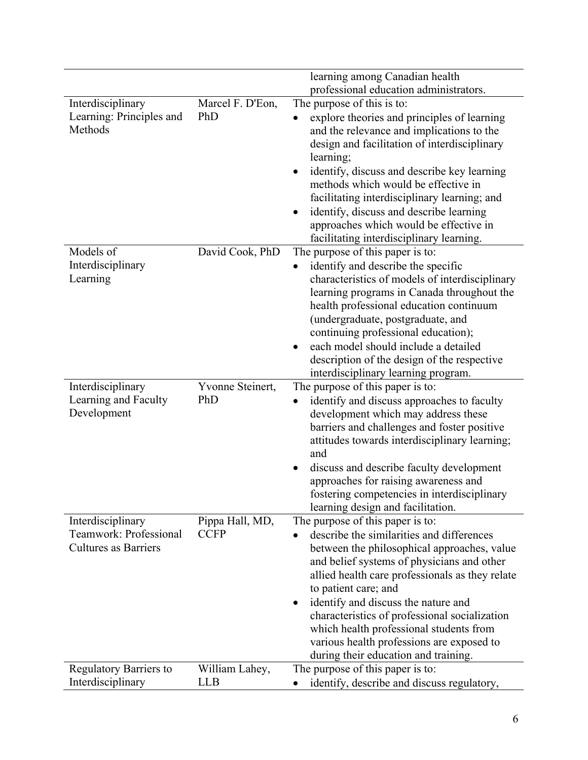|                                                                            |                                | learning among Canadian health                                                                                                                                                                                                                                                                                                                                                                                                                                                     |
|----------------------------------------------------------------------------|--------------------------------|------------------------------------------------------------------------------------------------------------------------------------------------------------------------------------------------------------------------------------------------------------------------------------------------------------------------------------------------------------------------------------------------------------------------------------------------------------------------------------|
|                                                                            |                                | professional education administrators.                                                                                                                                                                                                                                                                                                                                                                                                                                             |
| Interdisciplinary<br>Learning: Principles and<br>Methods                   | Marcel F. D'Eon,<br>PhD        | The purpose of this is to:<br>explore theories and principles of learning<br>and the relevance and implications to the<br>design and facilitation of interdisciplinary<br>learning;<br>identify, discuss and describe key learning<br>methods which would be effective in<br>facilitating interdisciplinary learning; and<br>identify, discuss and describe learning<br>$\bullet$<br>approaches which would be effective in<br>facilitating interdisciplinary learning.            |
| Models of<br>Interdisciplinary<br>Learning                                 | David Cook, PhD                | The purpose of this paper is to:<br>identify and describe the specific<br>$\bullet$<br>characteristics of models of interdisciplinary<br>learning programs in Canada throughout the<br>health professional education continuum<br>(undergraduate, postgraduate, and<br>continuing professional education);<br>each model should include a detailed<br>$\bullet$<br>description of the design of the respective<br>interdisciplinary learning program.                              |
| Interdisciplinary<br>Learning and Faculty<br>Development                   | Yvonne Steinert,<br>PhD        | The purpose of this paper is to:<br>identify and discuss approaches to faculty<br>$\bullet$<br>development which may address these<br>barriers and challenges and foster positive<br>attitudes towards interdisciplinary learning;<br>and<br>discuss and describe faculty development<br>٠<br>approaches for raising awareness and<br>fostering competencies in interdisciplinary<br>learning design and facilitation.                                                             |
| Interdisciplinary<br>Teamwork: Professional<br><b>Cultures as Barriers</b> | Pippa Hall, MD,<br><b>CCFP</b> | The purpose of this paper is to:<br>describe the similarities and differences<br>between the philosophical approaches, value<br>and belief systems of physicians and other<br>allied health care professionals as they relate<br>to patient care; and<br>identify and discuss the nature and<br>٠<br>characteristics of professional socialization<br>which health professional students from<br>various health professions are exposed to<br>during their education and training. |
| <b>Regulatory Barriers to</b><br>Interdisciplinary                         | William Lahey,<br><b>LLB</b>   | The purpose of this paper is to:<br>identify, describe and discuss regulatory,                                                                                                                                                                                                                                                                                                                                                                                                     |
|                                                                            |                                |                                                                                                                                                                                                                                                                                                                                                                                                                                                                                    |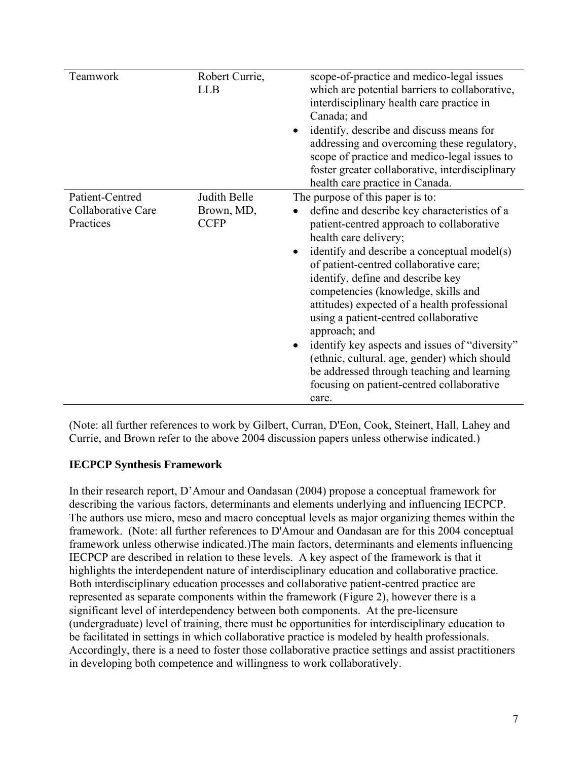| Teamwork                                           | Robert Currie,<br><b>LLB</b>              | scope-of-practice and medico-legal issues<br>which are potential barriers to collaborative,<br>interdisciplinary health care practice in<br>Canada; and<br>identify, describe and discuss means for<br>addressing and overcoming these regulatory,<br>scope of practice and medico-legal issues to<br>foster greater collaborative, interdisciplinary<br>health care practice in Canada.                                                                                                                                                                                                                                                    |
|----------------------------------------------------|-------------------------------------------|---------------------------------------------------------------------------------------------------------------------------------------------------------------------------------------------------------------------------------------------------------------------------------------------------------------------------------------------------------------------------------------------------------------------------------------------------------------------------------------------------------------------------------------------------------------------------------------------------------------------------------------------|
| Patient-Centred<br>Collaborative Care<br>Practices | Judith Belle<br>Brown, MD,<br><b>CCFP</b> | The purpose of this paper is to:<br>define and describe key characteristics of a<br>patient-centred approach to collaborative<br>health care delivery;<br>identify and describe a conceptual model(s)<br>of patient-centred collaborative care;<br>identify, define and describe key<br>competencies (knowledge, skills and<br>attitudes) expected of a health professional<br>using a patient-centred collaborative<br>approach; and<br>identify key aspects and issues of "diversity"<br>(ethnic, cultural, age, gender) which should<br>be addressed through teaching and learning<br>focusing on patient-centred collaborative<br>care. |

(Note: all further references to work by Gilbert, Curran, D'Eon, Cook, Steinert, Hall, Lahey and Currie, and Brown refer to the above 2004 discussion papers unless otherwise indicated.)

# **IECPCP Synthesis Framework**

In their research report, D'Amour and Oandasan (2004) propose a conceptual framework for describing the various factors, determinants and elements underlying and influencing IECPCP. The authors use micro, meso and macro conceptual levels as major organizing themes within the framework. (Note: all further references to D'Amour and Oandasan are for this 2004 conceptual framework unless otherwise indicated.)The main factors, determinants and elements influencing IECPCP are described in relation to these levels. A key aspect of the framework is that it highlights the interdependent nature of interdisciplinary education and collaborative practice. Both interdisciplinary education processes and collaborative patient-centred practice are represented as separate components within the framework (Figure 2), however there is a significant level of interdependency between both components. At the pre-licensure (undergraduate) level of training, there must be opportunities for interdisciplinary education to be facilitated in settings in which collaborative practice is modeled by health professionals. Accordingly, there is a need to foster those collaborative practice settings and assist practitioners in developing both competence and willingness to work collaboratively.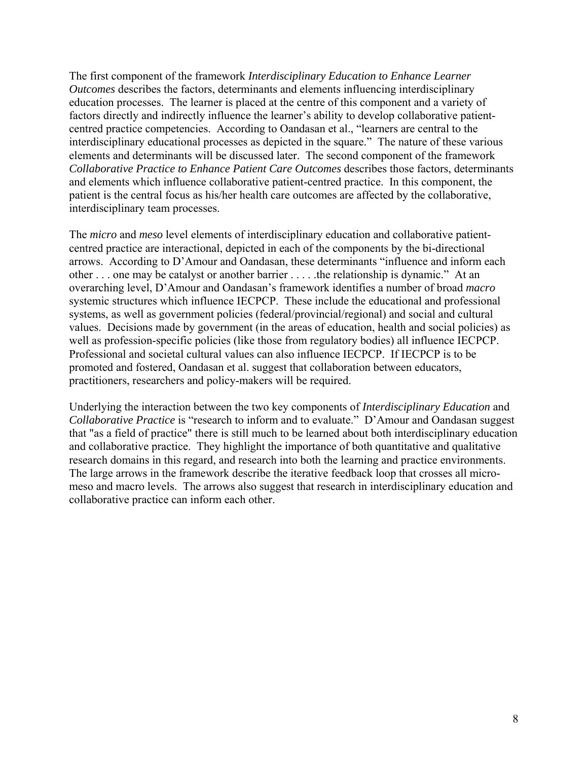The first component of the framework *Interdisciplinary Education to Enhance Learner Outcomes* describes the factors, determinants and elements influencing interdisciplinary education processes. The learner is placed at the centre of this component and a variety of factors directly and indirectly influence the learner's ability to develop collaborative patientcentred practice competencies. According to Oandasan et al., "learners are central to the interdisciplinary educational processes as depicted in the square." The nature of these various elements and determinants will be discussed later. The second component of the framework *Collaborative Practice to Enhance Patient Care Outcomes* describes those factors, determinants and elements which influence collaborative patient-centred practice. In this component, the patient is the central focus as his/her health care outcomes are affected by the collaborative, interdisciplinary team processes.

The *micro* and *meso* level elements of interdisciplinary education and collaborative patientcentred practice are interactional, depicted in each of the components by the bi-directional arrows. According to D'Amour and Oandasan, these determinants "influence and inform each other . . . one may be catalyst or another barrier . . . . .the relationship is dynamic." At an overarching level, D'Amour and Oandasan's framework identifies a number of broad *macro* systemic structures which influence IECPCP. These include the educational and professional systems, as well as government policies (federal/provincial/regional) and social and cultural values. Decisions made by government (in the areas of education, health and social policies) as well as profession-specific policies (like those from regulatory bodies) all influence IECPCP. Professional and societal cultural values can also influence IECPCP. If IECPCP is to be promoted and fostered, Oandasan et al. suggest that collaboration between educators, practitioners, researchers and policy-makers will be required.

Underlying the interaction between the two key components of *Interdisciplinary Education* and *Collaborative Practice* is "research to inform and to evaluate." D'Amour and Oandasan suggest that "as a field of practice" there is still much to be learned about both interdisciplinary education and collaborative practice. They highlight the importance of both quantitative and qualitative research domains in this regard, and research into both the learning and practice environments. The large arrows in the framework describe the iterative feedback loop that crosses all micromeso and macro levels. The arrows also suggest that research in interdisciplinary education and collaborative practice can inform each other.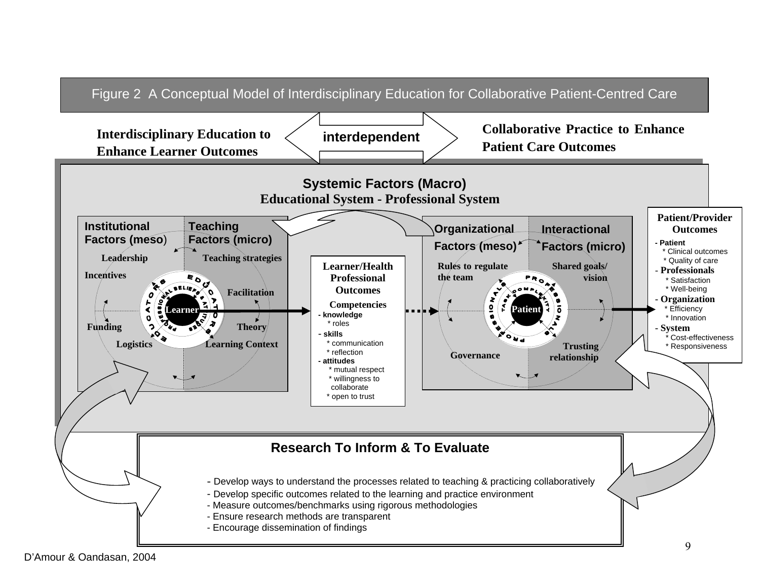

D'Amour & Oandasan, 2004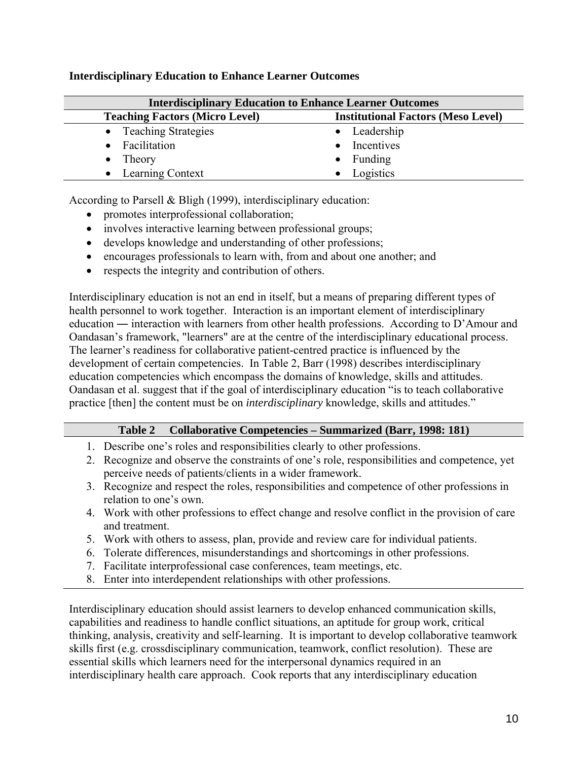|  | <b>Interdisciplinary Education to Enhance Learner Outcomes</b> |  |
|--|----------------------------------------------------------------|--|
|--|----------------------------------------------------------------|--|

| <b>Interdisciplinary Education to Enhance Learner Outcomes</b>                     |                   |  |  |  |
|------------------------------------------------------------------------------------|-------------------|--|--|--|
| <b>Teaching Factors (Micro Level)</b><br><b>Institutional Factors (Meso Level)</b> |                   |  |  |  |
| • Teaching Strategies                                                              | • Leadership      |  |  |  |
| • Facilitation                                                                     | Incentives        |  |  |  |
| $\bullet$ Theory                                                                   | $\bullet$ Funding |  |  |  |
| • Learning Context                                                                 | • Logistics       |  |  |  |

According to Parsell & Bligh (1999), interdisciplinary education:

- promotes interprofessional collaboration;
- involves interactive learning between professional groups;
- develops knowledge and understanding of other professions;
- encourages professionals to learn with, from and about one another; and
- respects the integrity and contribution of others.

Interdisciplinary education is not an end in itself, but a means of preparing different types of health personnel to work together. Interaction is an important element of interdisciplinary education ― interaction with learners from other health professions. According to D'Amour and Oandasan's framework, "learners" are at the centre of the interdisciplinary educational process. The learner's readiness for collaborative patient-centred practice is influenced by the development of certain competencies. In Table 2, Barr (1998) describes interdisciplinary education competencies which encompass the domains of knowledge, skills and attitudes. Oandasan et al. suggest that if the goal of interdisciplinary education "is to teach collaborative practice [then] the content must be on *interdisciplinary* knowledge, skills and attitudes."

#### **Table 2 Collaborative Competencies – Summarized (Barr, 1998: 181)**

- 1. Describe one's roles and responsibilities clearly to other professions.
- 2. Recognize and observe the constraints of one's role, responsibilities and competence, yet perceive needs of patients/clients in a wider framework.
- 3. Recognize and respect the roles, responsibilities and competence of other professions in relation to one's own.
- 4. Work with other professions to effect change and resolve conflict in the provision of care and treatment.
- 5. Work with others to assess, plan, provide and review care for individual patients.
- 6. Tolerate differences, misunderstandings and shortcomings in other professions.
- 7. Facilitate interprofessional case conferences, team meetings, etc.
- 8. Enter into interdependent relationships with other professions.

Interdisciplinary education should assist learners to develop enhanced communication skills, capabilities and readiness to handle conflict situations, an aptitude for group work, critical thinking, analysis, creativity and self-learning. It is important to develop collaborative teamwork skills first (e.g. crossdisciplinary communication, teamwork, conflict resolution). These are essential skills which learners need for the interpersonal dynamics required in an interdisciplinary health care approach. Cook reports that any interdisciplinary education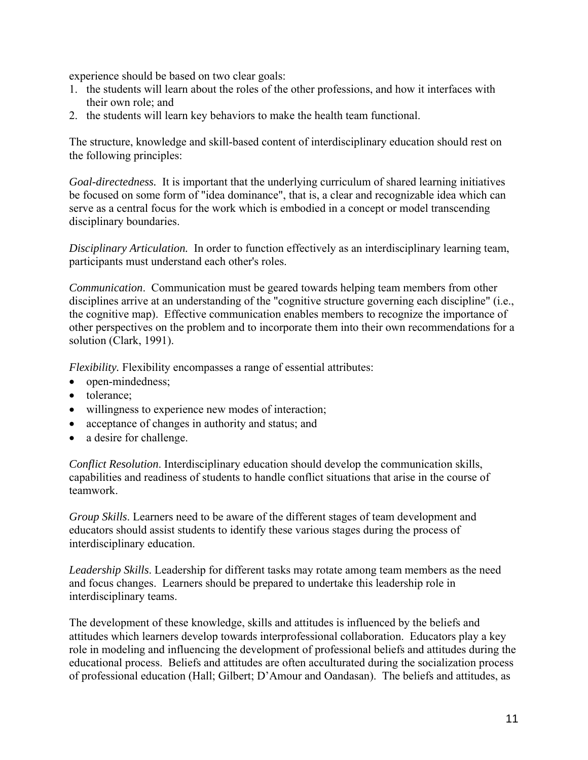experience should be based on two clear goals:

- 1. the students will learn about the roles of the other professions, and how it interfaces with their own role; and
- 2. the students will learn key behaviors to make the health team functional.

The structure, knowledge and skill-based content of interdisciplinary education should rest on the following principles:

*Goal-directedness.* It is important that the underlying curriculum of shared learning initiatives be focused on some form of "idea dominance", that is, a clear and recognizable idea which can serve as a central focus for the work which is embodied in a concept or model transcending disciplinary boundaries.

*Disciplinary Articulation.* In order to function effectively as an interdisciplinary learning team, participants must understand each other's roles.

*Communication*. Communication must be geared towards helping team members from other disciplines arrive at an understanding of the "cognitive structure governing each discipline" (i.e., the cognitive map). Effective communication enables members to recognize the importance of other perspectives on the problem and to incorporate them into their own recommendations for a solution (Clark, 1991).

*Flexibility.* Flexibility encompasses a range of essential attributes:

- open-mindedness;
- tolerance;
- willingness to experience new modes of interaction;
- acceptance of changes in authority and status; and
- a desire for challenge.

*Conflict Resolution*. Interdisciplinary education should develop the communication skills, capabilities and readiness of students to handle conflict situations that arise in the course of teamwork.

*Group Skills*. Learners need to be aware of the different stages of team development and educators should assist students to identify these various stages during the process of interdisciplinary education.

*Leadership Skills*. Leadership for different tasks may rotate among team members as the need and focus changes. Learners should be prepared to undertake this leadership role in interdisciplinary teams.

The development of these knowledge, skills and attitudes is influenced by the beliefs and attitudes which learners develop towards interprofessional collaboration. Educators play a key role in modeling and influencing the development of professional beliefs and attitudes during the educational process. Beliefs and attitudes are often acculturated during the socialization process of professional education (Hall; Gilbert; D'Amour and Oandasan). The beliefs and attitudes, as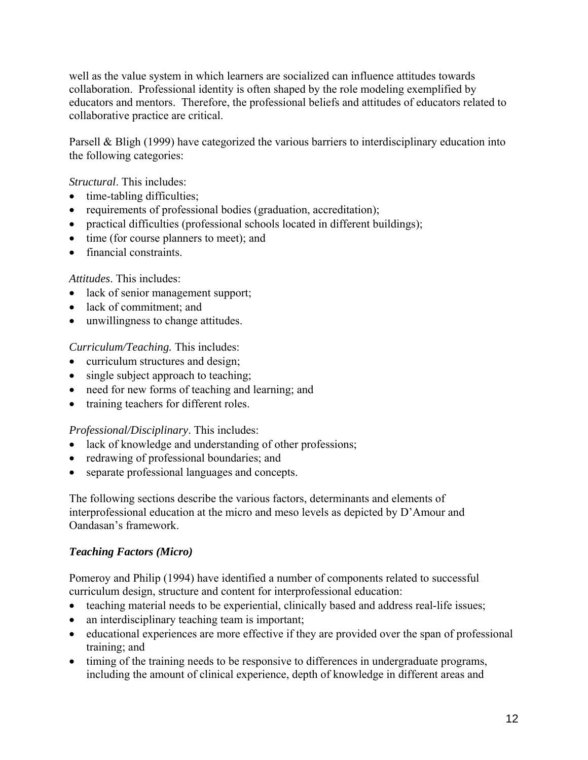well as the value system in which learners are socialized can influence attitudes towards collaboration. Professional identity is often shaped by the role modeling exemplified by educators and mentors. Therefore, the professional beliefs and attitudes of educators related to collaborative practice are critical.

Parsell & Bligh (1999) have categorized the various barriers to interdisciplinary education into the following categories:

*Structural*. This includes:

- time-tabling difficulties;
- requirements of professional bodies (graduation, accreditation);
- practical difficulties (professional schools located in different buildings);
- time (for course planners to meet); and
- financial constraints.

#### *Attitudes*. This includes:

- lack of senior management support;
- lack of commitment; and
- unwillingness to change attitudes.

#### *Curriculum/Teaching.* This includes:

- curriculum structures and design;
- single subject approach to teaching;
- need for new forms of teaching and learning; and
- training teachers for different roles.

#### *Professional/Disciplinary*. This includes:

- lack of knowledge and understanding of other professions;
- redrawing of professional boundaries; and
- separate professional languages and concepts.

The following sections describe the various factors, determinants and elements of interprofessional education at the micro and meso levels as depicted by D'Amour and Oandasan's framework.

#### *Teaching Factors (Micro)*

Pomeroy and Philip (1994) have identified a number of components related to successful curriculum design, structure and content for interprofessional education:

- teaching material needs to be experiential, clinically based and address real-life issues;
- an interdisciplinary teaching team is important;
- educational experiences are more effective if they are provided over the span of professional training; and
- timing of the training needs to be responsive to differences in undergraduate programs, including the amount of clinical experience, depth of knowledge in different areas and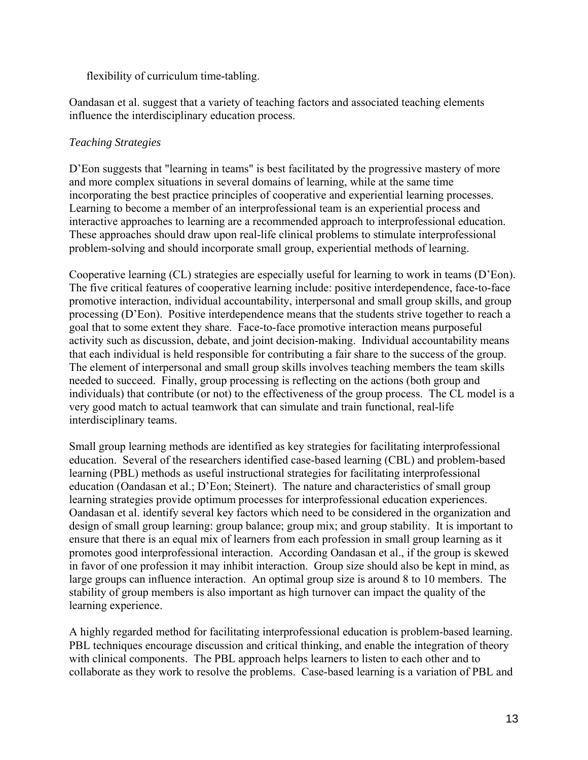#### flexibility of curriculum time-tabling.

Oandasan et al. suggest that a variety of teaching factors and associated teaching elements influence the interdisciplinary education process.

#### *Teaching Strategies*

D'Eon suggests that "learning in teams" is best facilitated by the progressive mastery of more and more complex situations in several domains of learning, while at the same time incorporating the best practice principles of cooperative and experiential learning processes. Learning to become a member of an interprofessional team is an experiential process and interactive approaches to learning are a recommended approach to interprofessional education. These approaches should draw upon real-life clinical problems to stimulate interprofessional problem-solving and should incorporate small group, experiential methods of learning.

Cooperative learning (CL) strategies are especially useful for learning to work in teams (D'Eon). The five critical features of cooperative learning include: positive interdependence, face-to-face promotive interaction, individual accountability, interpersonal and small group skills, and group processing (D'Eon). Positive interdependence means that the students strive together to reach a goal that to some extent they share. Face-to-face promotive interaction means purposeful activity such as discussion, debate, and joint decision-making. Individual accountability means that each individual is held responsible for contributing a fair share to the success of the group. The element of interpersonal and small group skills involves teaching members the team skills needed to succeed. Finally, group processing is reflecting on the actions (both group and individuals) that contribute (or not) to the effectiveness of the group process. The CL model is a very good match to actual teamwork that can simulate and train functional, real-life interdisciplinary teams.

Small group learning methods are identified as key strategies for facilitating interprofessional education. Several of the researchers identified case-based learning (CBL) and problem-based learning (PBL) methods as useful instructional strategies for facilitating interprofessional education (Oandasan et al.; D'Eon; Steinert). The nature and characteristics of small group learning strategies provide optimum processes for interprofessional education experiences. Oandasan et al. identify several key factors which need to be considered in the organization and design of small group learning: group balance; group mix; and group stability. It is important to ensure that there is an equal mix of learners from each profession in small group learning as it promotes good interprofessional interaction. According Oandasan et al., if the group is skewed in favor of one profession it may inhibit interaction. Group size should also be kept in mind, as large groups can influence interaction. An optimal group size is around 8 to 10 members. The stability of group members is also important as high turnover can impact the quality of the learning experience.

A highly regarded method for facilitating interprofessional education is problem-based learning. PBL techniques encourage discussion and critical thinking, and enable the integration of theory with clinical components. The PBL approach helps learners to listen to each other and to collaborate as they work to resolve the problems. Case-based learning is a variation of PBL and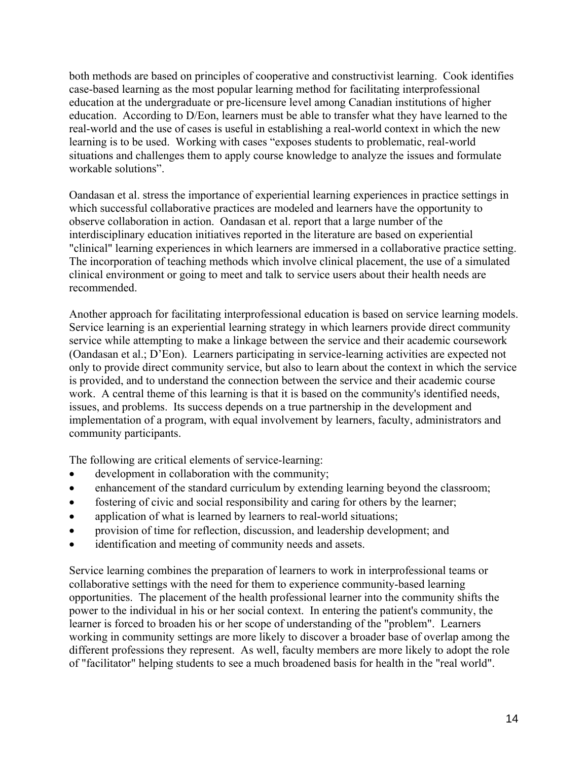both methods are based on principles of cooperative and constructivist learning. Cook identifies case-based learning as the most popular learning method for facilitating interprofessional education at the undergraduate or pre-licensure level among Canadian institutions of higher education. According to D/Eon, learners must be able to transfer what they have learned to the real-world and the use of cases is useful in establishing a real-world context in which the new learning is to be used. Working with cases "exposes students to problematic, real-world situations and challenges them to apply course knowledge to analyze the issues and formulate workable solutions".

Oandasan et al. stress the importance of experiential learning experiences in practice settings in which successful collaborative practices are modeled and learners have the opportunity to observe collaboration in action. Oandasan et al. report that a large number of the interdisciplinary education initiatives reported in the literature are based on experiential "clinical" learning experiences in which learners are immersed in a collaborative practice setting. The incorporation of teaching methods which involve clinical placement, the use of a simulated clinical environment or going to meet and talk to service users about their health needs are recommended.

Another approach for facilitating interprofessional education is based on service learning models. Service learning is an experiential learning strategy in which learners provide direct community service while attempting to make a linkage between the service and their academic coursework (Oandasan et al.; D'Eon). Learners participating in service-learning activities are expected not only to provide direct community service, but also to learn about the context in which the service is provided, and to understand the connection between the service and their academic course work. A central theme of this learning is that it is based on the community's identified needs, issues, and problems. Its success depends on a true partnership in the development and implementation of a program, with equal involvement by learners, faculty, administrators and community participants.

The following are critical elements of service-learning:

- development in collaboration with the community;
- enhancement of the standard curriculum by extending learning beyond the classroom;
- fostering of civic and social responsibility and caring for others by the learner;
- application of what is learned by learners to real-world situations;
- provision of time for reflection, discussion, and leadership development; and
- identification and meeting of community needs and assets.

Service learning combines the preparation of learners to work in interprofessional teams or collaborative settings with the need for them to experience community-based learning opportunities. The placement of the health professional learner into the community shifts the power to the individual in his or her social context. In entering the patient's community, the learner is forced to broaden his or her scope of understanding of the "problem". Learners working in community settings are more likely to discover a broader base of overlap among the different professions they represent. As well, faculty members are more likely to adopt the role of "facilitator" helping students to see a much broadened basis for health in the "real world".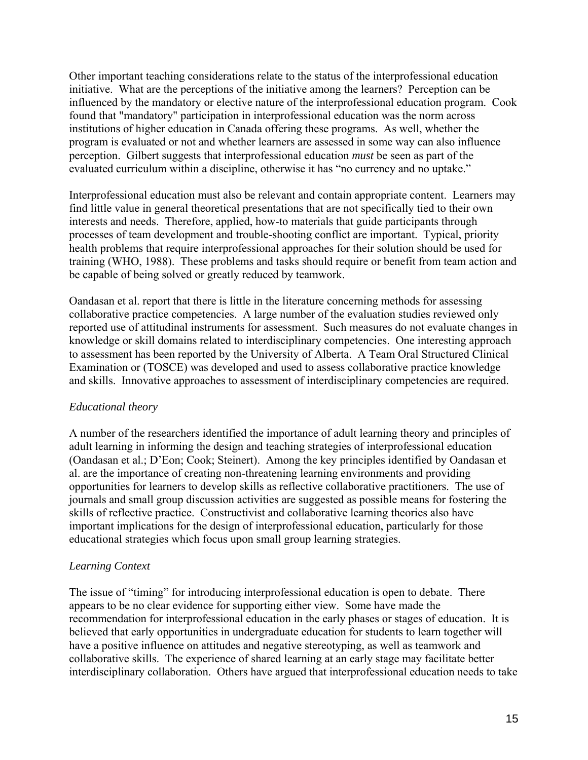Other important teaching considerations relate to the status of the interprofessional education initiative. What are the perceptions of the initiative among the learners? Perception can be influenced by the mandatory or elective nature of the interprofessional education program. Cook found that "mandatory" participation in interprofessional education was the norm across institutions of higher education in Canada offering these programs. As well, whether the program is evaluated or not and whether learners are assessed in some way can also influence perception. Gilbert suggests that interprofessional education *must* be seen as part of the evaluated curriculum within a discipline, otherwise it has "no currency and no uptake."

Interprofessional education must also be relevant and contain appropriate content. Learners may find little value in general theoretical presentations that are not specifically tied to their own interests and needs. Therefore, applied, how-to materials that guide participants through processes of team development and trouble-shooting conflict are important. Typical, priority health problems that require interprofessional approaches for their solution should be used for training (WHO, 1988). These problems and tasks should require or benefit from team action and be capable of being solved or greatly reduced by teamwork.

Oandasan et al. report that there is little in the literature concerning methods for assessing collaborative practice competencies. A large number of the evaluation studies reviewed only reported use of attitudinal instruments for assessment. Such measures do not evaluate changes in knowledge or skill domains related to interdisciplinary competencies. One interesting approach to assessment has been reported by the University of Alberta. A Team Oral Structured Clinical Examination or (TOSCE) was developed and used to assess collaborative practice knowledge and skills. Innovative approaches to assessment of interdisciplinary competencies are required.

#### *Educational theory*

A number of the researchers identified the importance of adult learning theory and principles of adult learning in informing the design and teaching strategies of interprofessional education (Oandasan et al.; D'Eon; Cook; Steinert). Among the key principles identified by Oandasan et al. are the importance of creating non-threatening learning environments and providing opportunities for learners to develop skills as reflective collaborative practitioners. The use of journals and small group discussion activities are suggested as possible means for fostering the skills of reflective practice. Constructivist and collaborative learning theories also have important implications for the design of interprofessional education, particularly for those educational strategies which focus upon small group learning strategies.

#### *Learning Context*

The issue of "timing" for introducing interprofessional education is open to debate. There appears to be no clear evidence for supporting either view. Some have made the recommendation for interprofessional education in the early phases or stages of education. It is believed that early opportunities in undergraduate education for students to learn together will have a positive influence on attitudes and negative stereotyping, as well as teamwork and collaborative skills. The experience of shared learning at an early stage may facilitate better interdisciplinary collaboration. Others have argued that interprofessional education needs to take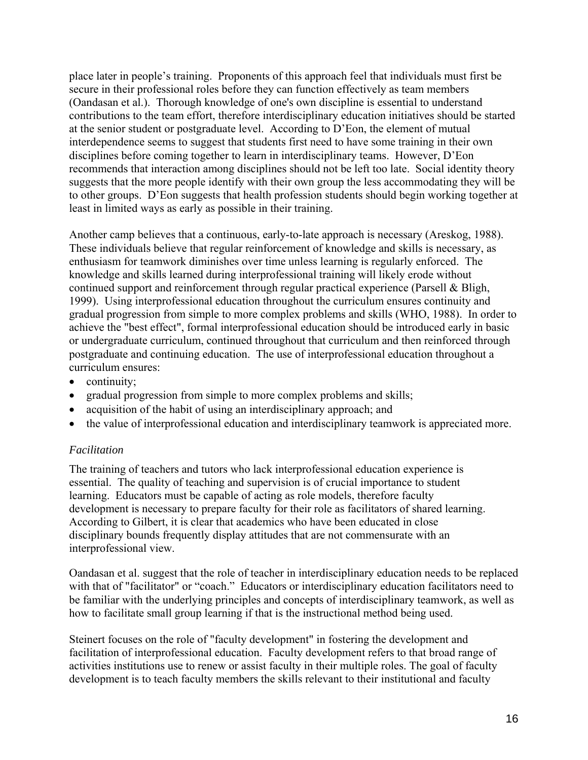place later in people's training. Proponents of this approach feel that individuals must first be secure in their professional roles before they can function effectively as team members (Oandasan et al.). Thorough knowledge of one's own discipline is essential to understand contributions to the team effort, therefore interdisciplinary education initiatives should be started at the senior student or postgraduate level. According to D'Eon, the element of mutual interdependence seems to suggest that students first need to have some training in their own disciplines before coming together to learn in interdisciplinary teams. However, D'Eon recommends that interaction among disciplines should not be left too late. Social identity theory suggests that the more people identify with their own group the less accommodating they will be to other groups. D'Eon suggests that health profession students should begin working together at least in limited ways as early as possible in their training.

Another camp believes that a continuous, early-to-late approach is necessary (Areskog, 1988). These individuals believe that regular reinforcement of knowledge and skills is necessary, as enthusiasm for teamwork diminishes over time unless learning is regularly enforced. The knowledge and skills learned during interprofessional training will likely erode without continued support and reinforcement through regular practical experience (Parsell & Bligh, 1999). Using interprofessional education throughout the curriculum ensures continuity and gradual progression from simple to more complex problems and skills (WHO, 1988). In order to achieve the "best effect", formal interprofessional education should be introduced early in basic or undergraduate curriculum, continued throughout that curriculum and then reinforced through postgraduate and continuing education. The use of interprofessional education throughout a curriculum ensures:

- continuity:
- gradual progression from simple to more complex problems and skills;
- acquisition of the habit of using an interdisciplinary approach; and
- the value of interprofessional education and interdisciplinary teamwork is appreciated more.

#### *Facilitation*

The training of teachers and tutors who lack interprofessional education experience is essential. The quality of teaching and supervision is of crucial importance to student learning. Educators must be capable of acting as role models, therefore faculty development is necessary to prepare faculty for their role as facilitators of shared learning. According to Gilbert, it is clear that academics who have been educated in close disciplinary bounds frequently display attitudes that are not commensurate with an interprofessional view.

Oandasan et al. suggest that the role of teacher in interdisciplinary education needs to be replaced with that of "facilitator" or "coach." Educators or interdisciplinary education facilitators need to be familiar with the underlying principles and concepts of interdisciplinary teamwork, as well as how to facilitate small group learning if that is the instructional method being used.

Steinert focuses on the role of "faculty development" in fostering the development and facilitation of interprofessional education. Faculty development refers to that broad range of activities institutions use to renew or assist faculty in their multiple roles. The goal of faculty development is to teach faculty members the skills relevant to their institutional and faculty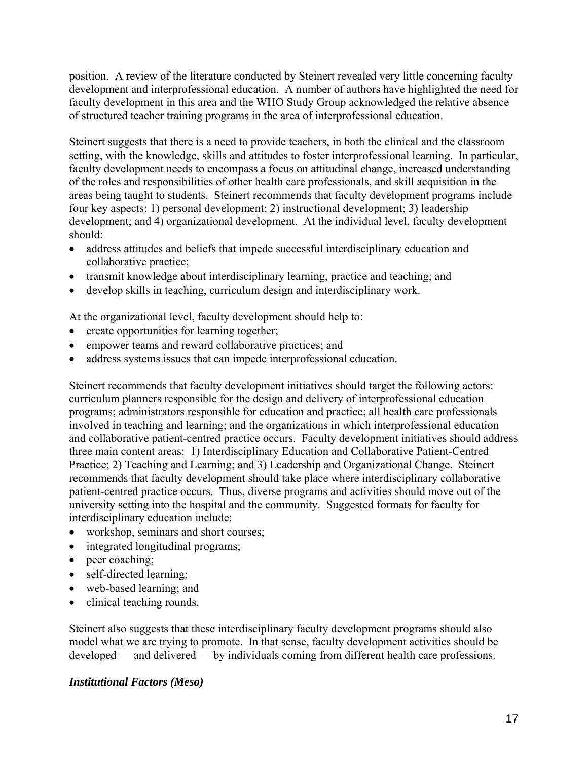position. A review of the literature conducted by Steinert revealed very little concerning faculty development and interprofessional education. A number of authors have highlighted the need for faculty development in this area and the WHO Study Group acknowledged the relative absence of structured teacher training programs in the area of interprofessional education.

Steinert suggests that there is a need to provide teachers, in both the clinical and the classroom setting, with the knowledge, skills and attitudes to foster interprofessional learning. In particular, faculty development needs to encompass a focus on attitudinal change, increased understanding of the roles and responsibilities of other health care professionals, and skill acquisition in the areas being taught to students. Steinert recommends that faculty development programs include four key aspects: 1) personal development; 2) instructional development; 3) leadership development; and 4) organizational development. At the individual level, faculty development should:

- address attitudes and beliefs that impede successful interdisciplinary education and collaborative practice;
- transmit knowledge about interdisciplinary learning, practice and teaching; and
- develop skills in teaching, curriculum design and interdisciplinary work.

At the organizational level, faculty development should help to:

- create opportunities for learning together;
- empower teams and reward collaborative practices; and
- address systems issues that can impede interprofessional education.

Steinert recommends that faculty development initiatives should target the following actors: curriculum planners responsible for the design and delivery of interprofessional education programs; administrators responsible for education and practice; all health care professionals involved in teaching and learning; and the organizations in which interprofessional education and collaborative patient-centred practice occurs. Faculty development initiatives should address three main content areas: 1) Interdisciplinary Education and Collaborative Patient-Centred Practice; 2) Teaching and Learning; and 3) Leadership and Organizational Change. Steinert recommends that faculty development should take place where interdisciplinary collaborative patient-centred practice occurs. Thus, diverse programs and activities should move out of the university setting into the hospital and the community. Suggested formats for faculty for interdisciplinary education include:

- workshop, seminars and short courses;
- integrated longitudinal programs;
- peer coaching;
- self-directed learning;
- web-based learning; and
- clinical teaching rounds.

Steinert also suggests that these interdisciplinary faculty development programs should also model what we are trying to promote. In that sense, faculty development activities should be developed — and delivered — by individuals coming from different health care professions.

#### *Institutional Factors (Meso)*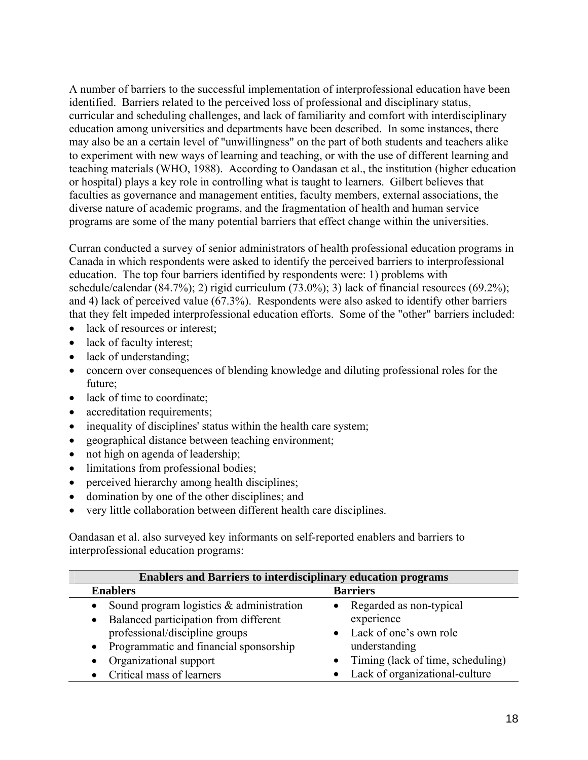A number of barriers to the successful implementation of interprofessional education have been identified. Barriers related to the perceived loss of professional and disciplinary status, curricular and scheduling challenges, and lack of familiarity and comfort with interdisciplinary education among universities and departments have been described. In some instances, there may also be an a certain level of "unwillingness" on the part of both students and teachers alike to experiment with new ways of learning and teaching, or with the use of different learning and teaching materials (WHO, 1988). According to Oandasan et al., the institution (higher education or hospital) plays a key role in controlling what is taught to learners. Gilbert believes that faculties as governance and management entities, faculty members, external associations, the diverse nature of academic programs, and the fragmentation of health and human service programs are some of the many potential barriers that effect change within the universities.

Curran conducted a survey of senior administrators of health professional education programs in Canada in which respondents were asked to identify the perceived barriers to interprofessional education. The top four barriers identified by respondents were: 1) problems with schedule/calendar (84.7%); 2) rigid curriculum (73.0%); 3) lack of financial resources (69.2%); and 4) lack of perceived value (67.3%). Respondents were also asked to identify other barriers that they felt impeded interprofessional education efforts. Some of the "other" barriers included:

- lack of resources or interest;
- lack of faculty interest;
- lack of understanding;
- concern over consequences of blending knowledge and diluting professional roles for the future;
- lack of time to coordinate;
- accreditation requirements;
- inequality of disciplines' status within the health care system;
- geographical distance between teaching environment;
- not high on agenda of leadership;
- limitations from professional bodies;
- perceived hierarchy among health disciplines;
- domination by one of the other disciplines; and
- very little collaboration between different health care disciplines.

Oandasan et al. also surveyed key informants on self-reported enablers and barriers to interprofessional education programs:

| <b>Enablers and Barriers to interdisciplinary education programs</b>                                          |                                         |  |  |  |  |
|---------------------------------------------------------------------------------------------------------------|-----------------------------------------|--|--|--|--|
| <b>Enablers</b>                                                                                               | <b>Barriers</b>                         |  |  |  |  |
| Sound program logistics $&$ administration<br>$\bullet$<br>Balanced participation from different<br>$\bullet$ | Regarded as non-typical<br>experience   |  |  |  |  |
| professional/discipline groups<br>Programmatic and financial sponsorship<br>$\bullet$                         | Lack of one's own role<br>understanding |  |  |  |  |
| Organizational support<br>$\bullet$                                                                           | Timing (lack of time, scheduling)       |  |  |  |  |
| Critical mass of learners                                                                                     | Lack of organizational-culture          |  |  |  |  |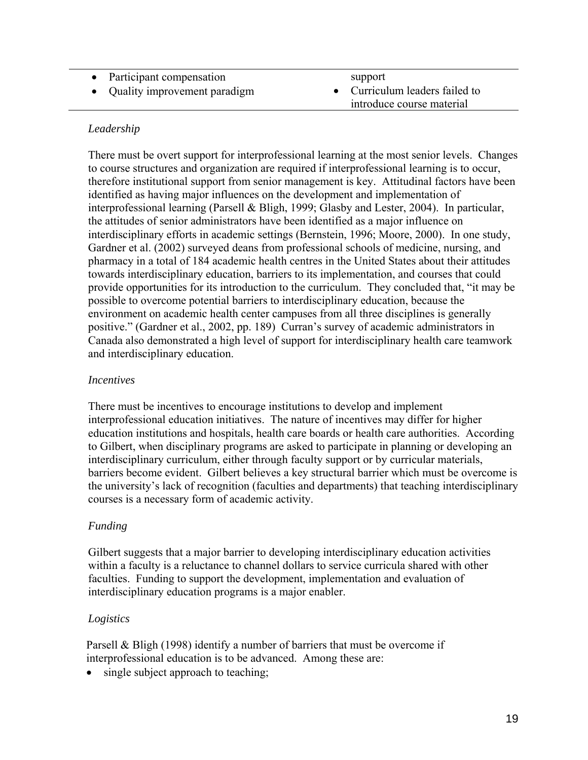| • Participant compensation     |  | support                        |
|--------------------------------|--|--------------------------------|
| • Quality improvement paradigm |  | • Curriculum leaders failed to |
|                                |  | introduce course material      |

#### *Leadership*

There must be overt support for interprofessional learning at the most senior levels. Changes to course structures and organization are required if interprofessional learning is to occur, therefore institutional support from senior management is key. Attitudinal factors have been identified as having major influences on the development and implementation of interprofessional learning (Parsell & Bligh, 1999; Glasby and Lester, 2004). In particular, the attitudes of senior administrators have been identified as a major influence on interdisciplinary efforts in academic settings (Bernstein, 1996; Moore, 2000). In one study, Gardner et al. (2002) surveyed deans from professional schools of medicine, nursing, and pharmacy in a total of 184 academic health centres in the United States about their attitudes towards interdisciplinary education, barriers to its implementation, and courses that could provide opportunities for its introduction to the curriculum. They concluded that, "it may be possible to overcome potential barriers to interdisciplinary education, because the environment on academic health center campuses from all three disciplines is generally positive." (Gardner et al., 2002, pp. 189) Curran's survey of academic administrators in Canada also demonstrated a high level of support for interdisciplinary health care teamwork and interdisciplinary education.

#### *Incentives*

There must be incentives to encourage institutions to develop and implement interprofessional education initiatives. The nature of incentives may differ for higher education institutions and hospitals, health care boards or health care authorities. According to Gilbert, when disciplinary programs are asked to participate in planning or developing an interdisciplinary curriculum, either through faculty support or by curricular materials, barriers become evident. Gilbert believes a key structural barrier which must be overcome is the university's lack of recognition (faculties and departments) that teaching interdisciplinary courses is a necessary form of academic activity.

# *Funding*

Gilbert suggests that a major barrier to developing interdisciplinary education activities within a faculty is a reluctance to channel dollars to service curricula shared with other faculties. Funding to support the development, implementation and evaluation of interdisciplinary education programs is a major enabler.

#### *Logistics*

Parsell & Bligh (1998) identify a number of barriers that must be overcome if interprofessional education is to be advanced. Among these are:

• single subject approach to teaching;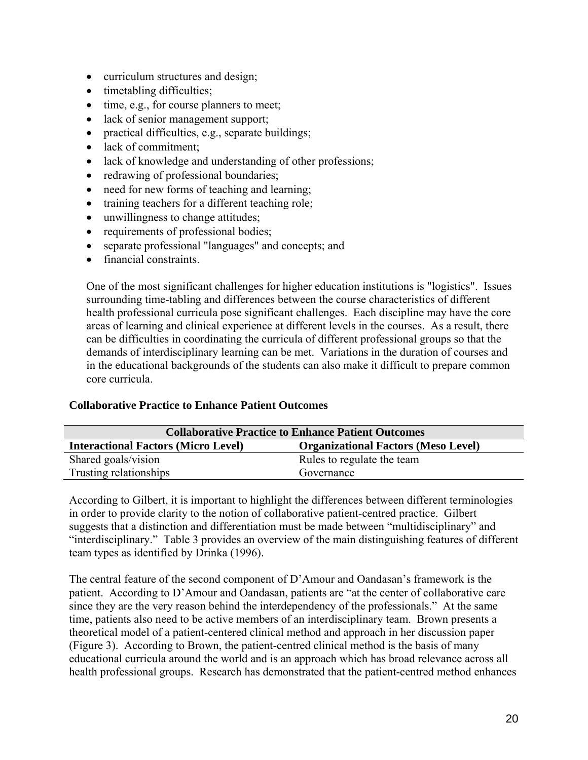- curriculum structures and design;
- timetabling difficulties;
- $\bullet$  time, e.g., for course planners to meet;
- lack of senior management support;
- practical difficulties, e.g., separate buildings;
- lack of commitment;
- lack of knowledge and understanding of other professions;
- redrawing of professional boundaries;
- need for new forms of teaching and learning;
- training teachers for a different teaching role;
- unwillingness to change attitudes;
- requirements of professional bodies;
- separate professional "languages" and concepts; and
- financial constraints.

One of the most significant challenges for higher education institutions is "logistics". Issues surrounding time-tabling and differences between the course characteristics of different health professional curricula pose significant challenges. Each discipline may have the core areas of learning and clinical experience at different levels in the courses. As a result, there can be difficulties in coordinating the curricula of different professional groups so that the demands of interdisciplinary learning can be met. Variations in the duration of courses and in the educational backgrounds of the students can also make it difficult to prepare common core curricula.

#### **Collaborative Practice to Enhance Patient Outcomes**

| <b>Collaborative Practice to Enhance Patient Outcomes</b>                                |                            |  |  |
|------------------------------------------------------------------------------------------|----------------------------|--|--|
| <b>Interactional Factors (Micro Level)</b><br><b>Organizational Factors (Meso Level)</b> |                            |  |  |
| Shared goals/vision                                                                      | Rules to regulate the team |  |  |
| Trusting relationships                                                                   | Governance                 |  |  |

According to Gilbert, it is important to highlight the differences between different terminologies in order to provide clarity to the notion of collaborative patient-centred practice. Gilbert suggests that a distinction and differentiation must be made between "multidisciplinary" and "interdisciplinary." Table 3 provides an overview of the main distinguishing features of different team types as identified by Drinka (1996).

The central feature of the second component of D'Amour and Oandasan's framework is the patient. According to D'Amour and Oandasan, patients are "at the center of collaborative care since they are the very reason behind the interdependency of the professionals." At the same time, patients also need to be active members of an interdisciplinary team. Brown presents a theoretical model of a patient-centered clinical method and approach in her discussion paper (Figure 3). According to Brown, the patient-centred clinical method is the basis of many educational curricula around the world and is an approach which has broad relevance across all health professional groups. Research has demonstrated that the patient-centred method enhances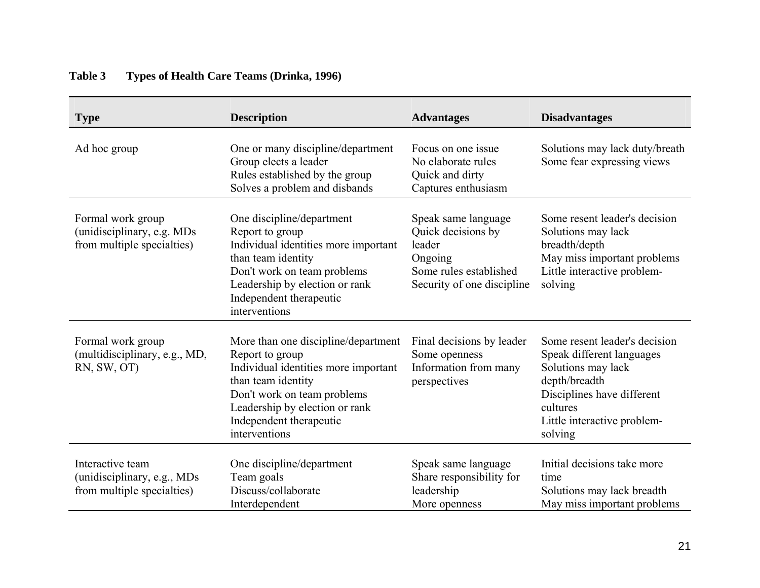| <b>Type</b>                                                                    | <b>Description</b>                                                                                                                                                                                                                | <b>Advantages</b>                                                                                                      | <b>Disadvantages</b>                                                                                                                                                                  |  |
|--------------------------------------------------------------------------------|-----------------------------------------------------------------------------------------------------------------------------------------------------------------------------------------------------------------------------------|------------------------------------------------------------------------------------------------------------------------|---------------------------------------------------------------------------------------------------------------------------------------------------------------------------------------|--|
| Ad hoc group                                                                   | One or many discipline/department<br>Group elects a leader<br>Rules established by the group<br>Solves a problem and disbands                                                                                                     | Focus on one issue<br>No elaborate rules<br>Quick and dirty<br>Captures enthusiasm                                     | Solutions may lack duty/breath<br>Some fear expressing views                                                                                                                          |  |
| Formal work group<br>(unidisciplinary, e.g. MDs)<br>from multiple specialties) | One discipline/department<br>Report to group<br>Individual identities more important<br>than team identity<br>Don't work on team problems<br>Leadership by election or rank<br>Independent therapeutic<br>interventions           | Speak same language<br>Quick decisions by<br>leader<br>Ongoing<br>Some rules established<br>Security of one discipline | Some resent leader's decision<br>Solutions may lack<br>breadth/depth<br>May miss important problems<br>Little interactive problem-<br>solving                                         |  |
| Formal work group<br>(multidisciplinary, e.g., MD,<br>RN, SW, OT)              | More than one discipline/department<br>Report to group<br>Individual identities more important<br>than team identity<br>Don't work on team problems<br>Leadership by election or rank<br>Independent therapeutic<br>interventions | Final decisions by leader<br>Some openness<br>Information from many<br>perspectives                                    | Some resent leader's decision<br>Speak different languages<br>Solutions may lack<br>depth/breadth<br>Disciplines have different<br>cultures<br>Little interactive problem-<br>solving |  |
| Interactive team<br>(unidisciplinary, e.g., MDs)<br>from multiple specialties) | One discipline/department<br>Team goals<br>Discuss/collaborate<br>Interdependent                                                                                                                                                  | Speak same language<br>Share responsibility for<br>leadership<br>More openness                                         | Initial decisions take more<br>time<br>Solutions may lack breadth<br>May miss important problems                                                                                      |  |

# **Table 3 Types of Health Care Teams (Drinka, 1996)**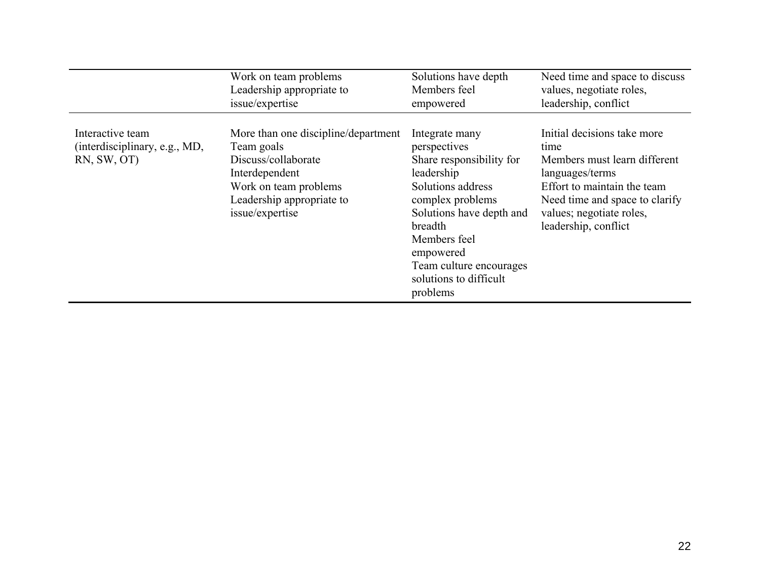|                                                                  | Work on team problems                                                                                                                                               | Solutions have depth                                                                                                                                                                                                                                   | Need time and space to discuss                                                                                                                                                                              |
|------------------------------------------------------------------|---------------------------------------------------------------------------------------------------------------------------------------------------------------------|--------------------------------------------------------------------------------------------------------------------------------------------------------------------------------------------------------------------------------------------------------|-------------------------------------------------------------------------------------------------------------------------------------------------------------------------------------------------------------|
|                                                                  | Leadership appropriate to                                                                                                                                           | Members feel                                                                                                                                                                                                                                           | values, negotiate roles,                                                                                                                                                                                    |
|                                                                  | issue/expertise                                                                                                                                                     | empowered                                                                                                                                                                                                                                              | leadership, conflict                                                                                                                                                                                        |
| Interactive team<br>(interdisciplinary, e.g., MD,<br>RN, SW, OT) | More than one discipline/department<br>Team goals<br>Discuss/collaborate<br>Interdependent<br>Work on team problems<br>Leadership appropriate to<br>issue/expertise | Integrate many<br>perspectives<br>Share responsibility for<br>leadership<br>Solutions address<br>complex problems<br>Solutions have depth and<br>breadth<br>Members feel<br>empowered<br>Team culture encourages<br>solutions to difficult<br>problems | Initial decisions take more<br>time<br>Members must learn different<br>languages/terms<br>Effort to maintain the team<br>Need time and space to clarify<br>values; negotiate roles,<br>leadership, conflict |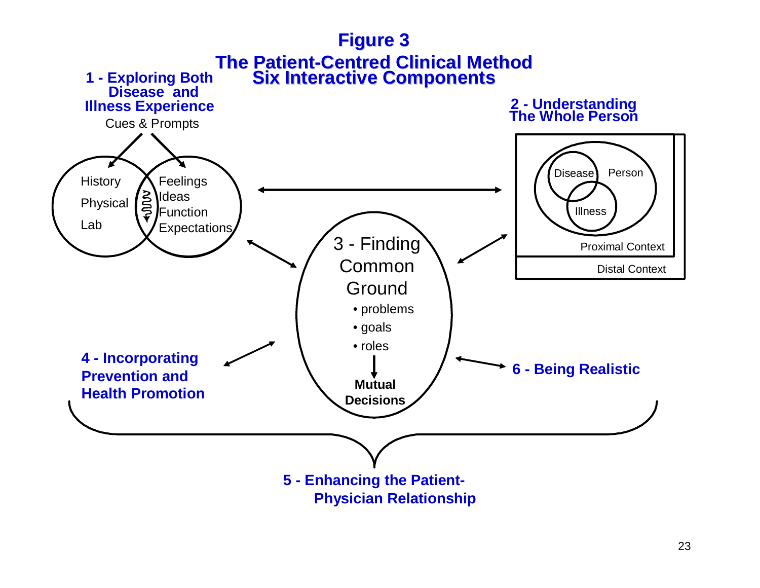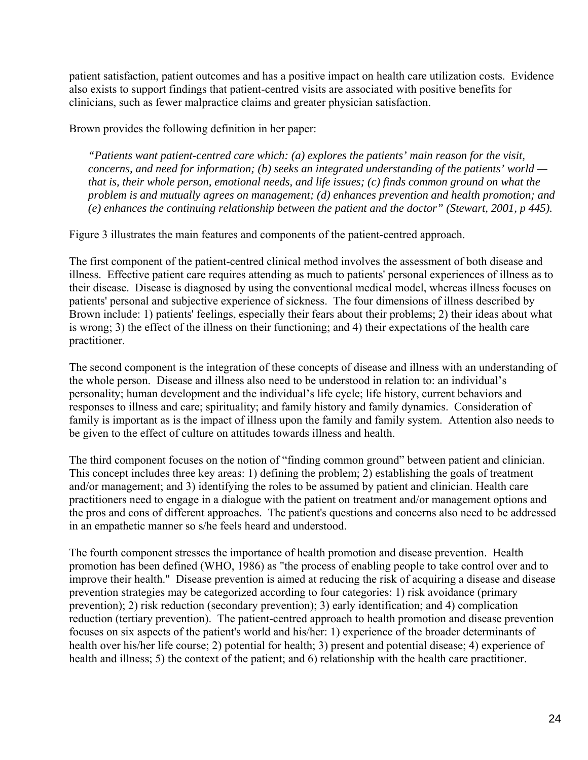patient satisfaction, patient outcomes and has a positive impact on health care utilization costs. Evidence also exists to support findings that patient-centred visits are associated with positive benefits for clinicians, such as fewer malpractice claims and greater physician satisfaction.

Brown provides the following definition in her paper:

*"Patients want patient-centred care which: (a) explores the patients' main reason for the visit, concerns, and need for information; (b) seeks an integrated understanding of the patients' world that is, their whole person, emotional needs, and life issues; (c) finds common ground on what the problem is and mutually agrees on management; (d) enhances prevention and health promotion; and (e) enhances the continuing relationship between the patient and the doctor" (Stewart, 2001, p 445).* 

Figure 3 illustrates the main features and components of the patient-centred approach.

The first component of the patient-centred clinical method involves the assessment of both disease and illness. Effective patient care requires attending as much to patients' personal experiences of illness as to their disease. Disease is diagnosed by using the conventional medical model, whereas illness focuses on patients' personal and subjective experience of sickness. The four dimensions of illness described by Brown include: 1) patients' feelings, especially their fears about their problems; 2) their ideas about what is wrong; 3) the effect of the illness on their functioning; and 4) their expectations of the health care practitioner.

The second component is the integration of these concepts of disease and illness with an understanding of the whole person. Disease and illness also need to be understood in relation to: an individual's personality; human development and the individual's life cycle; life history, current behaviors and responses to illness and care; spirituality; and family history and family dynamics. Consideration of family is important as is the impact of illness upon the family and family system. Attention also needs to be given to the effect of culture on attitudes towards illness and health.

The third component focuses on the notion of "finding common ground" between patient and clinician. This concept includes three key areas: 1) defining the problem; 2) establishing the goals of treatment and/or management; and 3) identifying the roles to be assumed by patient and clinician. Health care practitioners need to engage in a dialogue with the patient on treatment and/or management options and the pros and cons of different approaches. The patient's questions and concerns also need to be addressed in an empathetic manner so s/he feels heard and understood.

The fourth component stresses the importance of health promotion and disease prevention. Health promotion has been defined (WHO, 1986) as "the process of enabling people to take control over and to improve their health." Disease prevention is aimed at reducing the risk of acquiring a disease and disease prevention strategies may be categorized according to four categories: 1) risk avoidance (primary prevention); 2) risk reduction (secondary prevention); 3) early identification; and 4) complication reduction (tertiary prevention). The patient-centred approach to health promotion and disease prevention focuses on six aspects of the patient's world and his/her: 1) experience of the broader determinants of health over his/her life course; 2) potential for health; 3) present and potential disease; 4) experience of health and illness; 5) the context of the patient; and 6) relationship with the health care practitioner.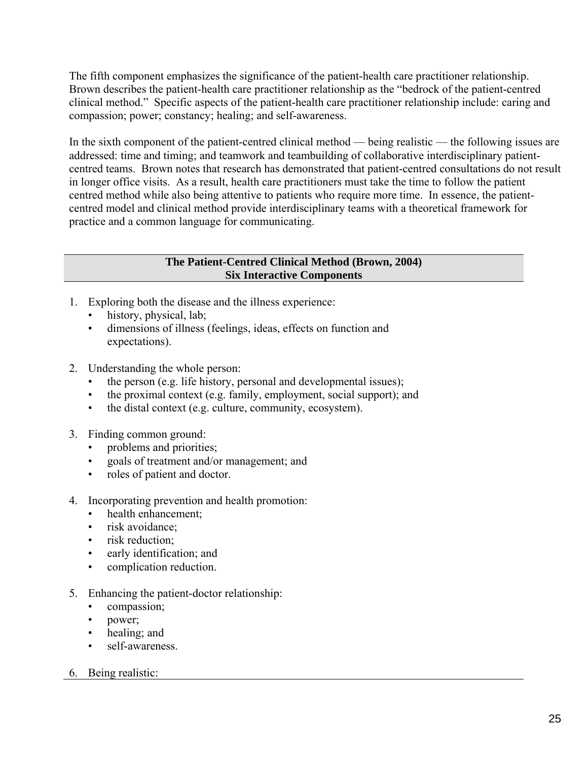The fifth component emphasizes the significance of the patient-health care practitioner relationship. Brown describes the patient-health care practitioner relationship as the "bedrock of the patient-centred clinical method." Specific aspects of the patient-health care practitioner relationship include: caring and compassion; power; constancy; healing; and self-awareness.

In the sixth component of the patient-centred clinical method — being realistic — the following issues are addressed: time and timing; and teamwork and teambuilding of collaborative interdisciplinary patientcentred teams. Brown notes that research has demonstrated that patient-centred consultations do not result in longer office visits. As a result, health care practitioners must take the time to follow the patient centred method while also being attentive to patients who require more time. In essence, the patientcentred model and clinical method provide interdisciplinary teams with a theoretical framework for practice and a common language for communicating.

#### **The Patient-Centred Clinical Method (Brown, 2004) Six Interactive Components**

- 1. Exploring both the disease and the illness experience:
	- history, physical, lab;
	- dimensions of illness (feelings, ideas, effects on function and expectations).
- 2. Understanding the whole person:
	- the person (e.g. life history, personal and developmental issues);
	- the proximal context (e.g. family, employment, social support); and
	- the distal context (e.g. culture, community, ecosystem).
- 3. Finding common ground:
	- problems and priorities;
	- goals of treatment and/or management; and
	- roles of patient and doctor.
- 4. Incorporating prevention and health promotion:
	- health enhancement:
	- risk avoidance;
	- risk reduction:
	- early identification; and
	- complication reduction.
- 5. Enhancing the patient-doctor relationship:
	- compassion;
	- power;
	- healing; and
	- self-awareness
- 6. Being realistic: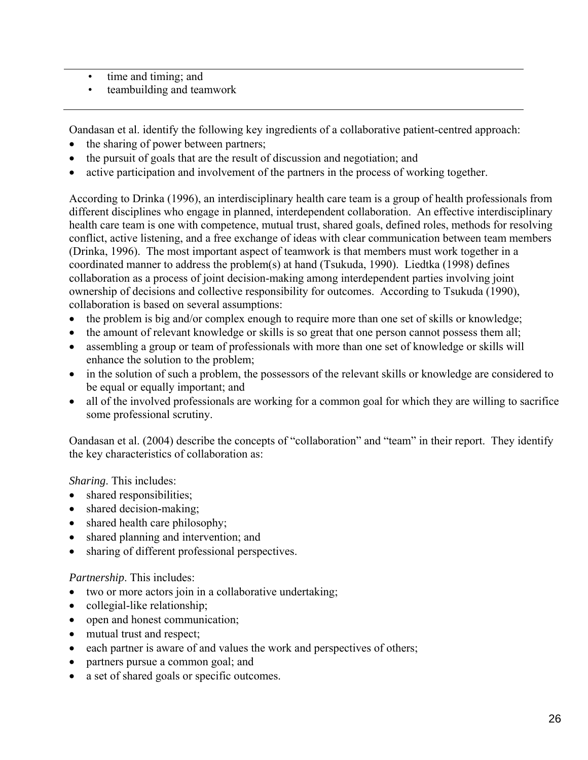- time and timing; and
- teambuilding and teamwork

Oandasan et al. identify the following key ingredients of a collaborative patient-centred approach:

- the sharing of power between partners;
- the pursuit of goals that are the result of discussion and negotiation; and
- active participation and involvement of the partners in the process of working together.

According to Drinka (1996), an interdisciplinary health care team is a group of health professionals from different disciplines who engage in planned, interdependent collaboration. An effective interdisciplinary health care team is one with competence, mutual trust, shared goals, defined roles, methods for resolving conflict, active listening, and a free exchange of ideas with clear communication between team members (Drinka, 1996). The most important aspect of teamwork is that members must work together in a coordinated manner to address the problem(s) at hand (Tsukuda, 1990). Liedtka (1998) defines collaboration as a process of joint decision-making among interdependent parties involving joint ownership of decisions and collective responsibility for outcomes. According to Tsukuda (1990), collaboration is based on several assumptions:

- the problem is big and/or complex enough to require more than one set of skills or knowledge;
- the amount of relevant knowledge or skills is so great that one person cannot possess them all;
- assembling a group or team of professionals with more than one set of knowledge or skills will enhance the solution to the problem;
- in the solution of such a problem, the possessors of the relevant skills or knowledge are considered to be equal or equally important; and
- all of the involved professionals are working for a common goal for which they are willing to sacrifice some professional scrutiny.

Oandasan et al. (2004) describe the concepts of "collaboration" and "team" in their report. They identify the key characteristics of collaboration as:

*Sharing*. This includes:

- shared responsibilities;
- shared decision-making;
- shared health care philosophy;
- shared planning and intervention; and
- sharing of different professional perspectives.

*Partnership*. This includes:

- two or more actors join in a collaborative undertaking;
- collegial-like relationship;
- open and honest communication;
- mutual trust and respect;
- each partner is aware of and values the work and perspectives of others;
- partners pursue a common goal; and
- a set of shared goals or specific outcomes.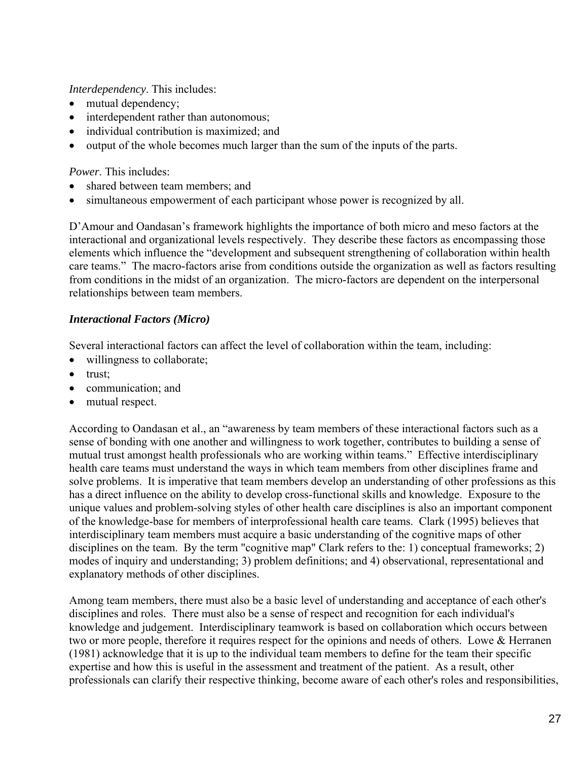*Interdependency*. This includes:

- mutual dependency;
- interdependent rather than autonomous;
- individual contribution is maximized; and
- output of the whole becomes much larger than the sum of the inputs of the parts.

*Power*. This includes:

- shared between team members; and
- simultaneous empowerment of each participant whose power is recognized by all.

D'Amour and Oandasan's framework highlights the importance of both micro and meso factors at the interactional and organizational levels respectively. They describe these factors as encompassing those elements which influence the "development and subsequent strengthening of collaboration within health care teams." The macro-factors arise from conditions outside the organization as well as factors resulting from conditions in the midst of an organization. The micro-factors are dependent on the interpersonal relationships between team members.

#### *Interactional Factors (Micro)*

Several interactional factors can affect the level of collaboration within the team, including:

- willingness to collaborate:
- $\bullet$  trust;
- communication; and
- mutual respect.

According to Oandasan et al., an "awareness by team members of these interactional factors such as a sense of bonding with one another and willingness to work together, contributes to building a sense of mutual trust amongst health professionals who are working within teams." Effective interdisciplinary health care teams must understand the ways in which team members from other disciplines frame and solve problems. It is imperative that team members develop an understanding of other professions as this has a direct influence on the ability to develop cross-functional skills and knowledge. Exposure to the unique values and problem-solving styles of other health care disciplines is also an important component of the knowledge-base for members of interprofessional health care teams. Clark (1995) believes that interdisciplinary team members must acquire a basic understanding of the cognitive maps of other disciplines on the team. By the term "cognitive map" Clark refers to the: 1) conceptual frameworks; 2) modes of inquiry and understanding; 3) problem definitions; and 4) observational, representational and explanatory methods of other disciplines.

Among team members, there must also be a basic level of understanding and acceptance of each other's disciplines and roles. There must also be a sense of respect and recognition for each individual's knowledge and judgement. Interdisciplinary teamwork is based on collaboration which occurs between two or more people, therefore it requires respect for the opinions and needs of others. Lowe & Herranen (1981) acknowledge that it is up to the individual team members to define for the team their specific expertise and how this is useful in the assessment and treatment of the patient. As a result, other professionals can clarify their respective thinking, become aware of each other's roles and responsibilities,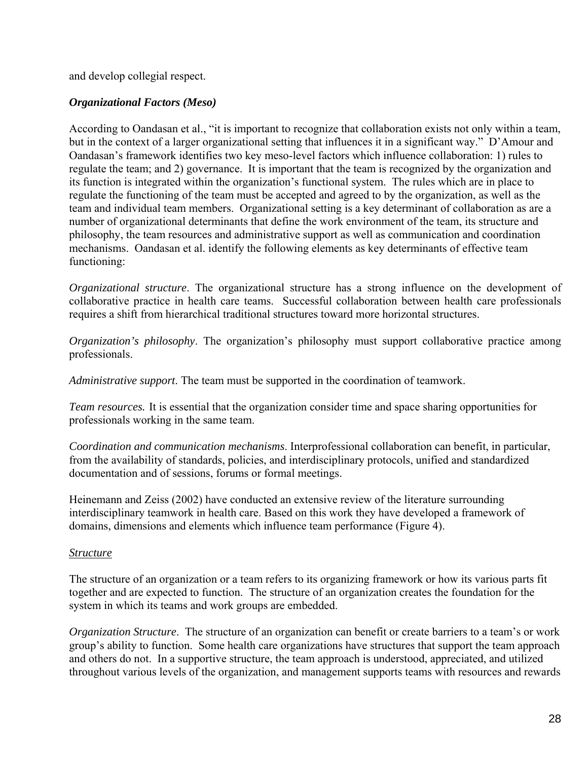and develop collegial respect.

#### *Organizational Factors (Meso)*

According to Oandasan et al., "it is important to recognize that collaboration exists not only within a team, but in the context of a larger organizational setting that influences it in a significant way." D'Amour and Oandasan's framework identifies two key meso-level factors which influence collaboration: 1) rules to regulate the team; and 2) governance. It is important that the team is recognized by the organization and its function is integrated within the organization's functional system. The rules which are in place to regulate the functioning of the team must be accepted and agreed to by the organization, as well as the team and individual team members. Organizational setting is a key determinant of collaboration as are a number of organizational determinants that define the work environment of the team, its structure and philosophy, the team resources and administrative support as well as communication and coordination mechanisms. Oandasan et al. identify the following elements as key determinants of effective team functioning:

*Organizational structure*. The organizational structure has a strong influence on the development of collaborative practice in health care teams. Successful collaboration between health care professionals requires a shift from hierarchical traditional structures toward more horizontal structures.

*Organization's philosophy*. The organization's philosophy must support collaborative practice among professionals.

*Administrative support*. The team must be supported in the coordination of teamwork.

*Team resources.* It is essential that the organization consider time and space sharing opportunities for professionals working in the same team.

*Coordination and communication mechanisms*. Interprofessional collaboration can benefit, in particular, from the availability of standards, policies, and interdisciplinary protocols, unified and standardized documentation and of sessions, forums or formal meetings.

Heinemann and Zeiss (2002) have conducted an extensive review of the literature surrounding interdisciplinary teamwork in health care. Based on this work they have developed a framework of domains, dimensions and elements which influence team performance (Figure 4).

#### *Structure*

The structure of an organization or a team refers to its organizing framework or how its various parts fit together and are expected to function. The structure of an organization creates the foundation for the system in which its teams and work groups are embedded.

*Organization Structure*. The structure of an organization can benefit or create barriers to a team's or work group's ability to function. Some health care organizations have structures that support the team approach and others do not. In a supportive structure, the team approach is understood, appreciated, and utilized throughout various levels of the organization, and management supports teams with resources and rewards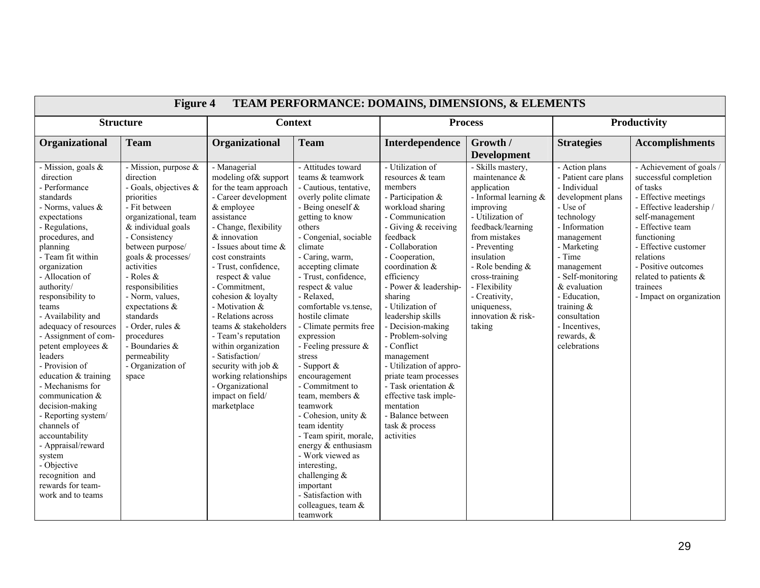| LEAVE LEAT UNMANCE, DUMANTO, DIMENSIONO, & ELEMENTO                                                                                                                                                                                                                                                                                                                                                                                                                                                                                                                                                                                     |                                                                                                                                                                                                                                                                                                                                                                                                                    |                                                                                                                                                                                                                                                                                                                                                                                                                                                                                                                                       |                                                                                                                                                                                                                                                                                                                                                                                                                                                                                                                                                                                                                                                                                                                               |                                                                                                                                                                                                                                                                                                                                                                                                                                                                                                                                                |                                                                                                                                                                                                                                                                                                               |                                                                                                                                                                                                                                                                                                                     |                                                                                                                                                                                                                                                                                                      |
|-----------------------------------------------------------------------------------------------------------------------------------------------------------------------------------------------------------------------------------------------------------------------------------------------------------------------------------------------------------------------------------------------------------------------------------------------------------------------------------------------------------------------------------------------------------------------------------------------------------------------------------------|--------------------------------------------------------------------------------------------------------------------------------------------------------------------------------------------------------------------------------------------------------------------------------------------------------------------------------------------------------------------------------------------------------------------|---------------------------------------------------------------------------------------------------------------------------------------------------------------------------------------------------------------------------------------------------------------------------------------------------------------------------------------------------------------------------------------------------------------------------------------------------------------------------------------------------------------------------------------|-------------------------------------------------------------------------------------------------------------------------------------------------------------------------------------------------------------------------------------------------------------------------------------------------------------------------------------------------------------------------------------------------------------------------------------------------------------------------------------------------------------------------------------------------------------------------------------------------------------------------------------------------------------------------------------------------------------------------------|------------------------------------------------------------------------------------------------------------------------------------------------------------------------------------------------------------------------------------------------------------------------------------------------------------------------------------------------------------------------------------------------------------------------------------------------------------------------------------------------------------------------------------------------|---------------------------------------------------------------------------------------------------------------------------------------------------------------------------------------------------------------------------------------------------------------------------------------------------------------|---------------------------------------------------------------------------------------------------------------------------------------------------------------------------------------------------------------------------------------------------------------------------------------------------------------------|------------------------------------------------------------------------------------------------------------------------------------------------------------------------------------------------------------------------------------------------------------------------------------------------------|
|                                                                                                                                                                                                                                                                                                                                                                                                                                                                                                                                                                                                                                         | <b>Structure</b>                                                                                                                                                                                                                                                                                                                                                                                                   |                                                                                                                                                                                                                                                                                                                                                                                                                                                                                                                                       | <b>Context</b>                                                                                                                                                                                                                                                                                                                                                                                                                                                                                                                                                                                                                                                                                                                | <b>Process</b>                                                                                                                                                                                                                                                                                                                                                                                                                                                                                                                                 |                                                                                                                                                                                                                                                                                                               | Productivity                                                                                                                                                                                                                                                                                                        |                                                                                                                                                                                                                                                                                                      |
| Organizational                                                                                                                                                                                                                                                                                                                                                                                                                                                                                                                                                                                                                          | <b>Team</b>                                                                                                                                                                                                                                                                                                                                                                                                        | Organizational                                                                                                                                                                                                                                                                                                                                                                                                                                                                                                                        | <b>Team</b>                                                                                                                                                                                                                                                                                                                                                                                                                                                                                                                                                                                                                                                                                                                   | Interdependence                                                                                                                                                                                                                                                                                                                                                                                                                                                                                                                                | Growth /                                                                                                                                                                                                                                                                                                      | <b>Strategies</b>                                                                                                                                                                                                                                                                                                   | <b>Accomplishments</b>                                                                                                                                                                                                                                                                               |
|                                                                                                                                                                                                                                                                                                                                                                                                                                                                                                                                                                                                                                         |                                                                                                                                                                                                                                                                                                                                                                                                                    |                                                                                                                                                                                                                                                                                                                                                                                                                                                                                                                                       |                                                                                                                                                                                                                                                                                                                                                                                                                                                                                                                                                                                                                                                                                                                               |                                                                                                                                                                                                                                                                                                                                                                                                                                                                                                                                                | <b>Development</b>                                                                                                                                                                                                                                                                                            |                                                                                                                                                                                                                                                                                                                     |                                                                                                                                                                                                                                                                                                      |
| - Mission, goals &<br>direction<br>- Performance<br>standards<br>- Norms, values &<br>expectations<br>- Regulations,<br>procedures, and<br>planning<br>- Team fit within<br>organization<br>- Allocation of<br>authority/<br>responsibility to<br>teams<br>- Availability and<br>adequacy of resources<br>- Assignment of com-<br>petent employees &<br>leaders<br>- Provision of<br>education & training<br>- Mechanisms for<br>communication &<br>decision-making<br>- Reporting system/<br>channels of<br>accountability<br>- Appraisal/reward<br>system<br>- Objective<br>recognition and<br>rewards for team-<br>work and to teams | - Mission, purpose $\&$<br>direction<br>- Goals, objectives &<br>priorities<br>- Fit between<br>organizational, team<br>$&$ individual goals<br>- Consistency<br>between purpose/<br>goals & processes/<br>activities<br>- Roles $\&$<br>responsibilities<br>- Norm, values,<br>expectations $\&$<br>standards<br>- Order, rules &<br>procedures<br>- Boundaries $&$<br>permeability<br>- Organization of<br>space | - Managerial<br>modeling of & support<br>for the team approach<br>- Career development<br>& employee<br>assistance<br>- Change, flexibility<br>& innovation<br>- Issues about time &<br>cost constraints<br>- Trust, confidence,<br>respect & value<br>- Commitment,<br>cohesion & loyalty<br>- Motivation &<br>- Relations across<br>teams & stakeholders<br>- Team's reputation<br>within organization<br>- Satisfaction/<br>security with job $\&$<br>working relationships<br>- Organizational<br>impact on field/<br>marketplace | - Attitudes toward<br>teams & teamwork<br>- Cautious, tentative,<br>overly polite climate<br>- Being oneself $\&$<br>getting to know<br>others<br>- Congenial, sociable<br>climate<br>- Caring, warm,<br>accepting climate<br>- Trust, confidence,<br>respect & value<br>- Relaxed,<br>comfortable vs.tense,<br>hostile climate<br>- Climate permits free<br>expression<br>- Feeling pressure $&$<br>stress<br>- Support $\&$<br>encouragement<br>- Commitment to<br>team, members $\&$<br>teamwork<br>- Cohesion, unity $\&$<br>team identity<br>- Team spirit, morale,<br>energy & enthusiasm<br>- Work viewed as<br>interesting,<br>challenging $\&$<br>important<br>- Satisfaction with<br>colleagues, team &<br>teamwork | - Utilization of<br>resources & team<br>members<br>- Participation &<br>workload sharing<br>- Communication<br>- Giving & receiving<br>feedback<br>- Collaboration<br>- Cooperation,<br>coordination &<br>efficiency<br>- Power & leadership-<br>sharing<br>- Utilization of<br>leadership skills<br>- Decision-making<br>- Problem-solving<br>- Conflict<br>management<br>- Utilization of appro-<br>priate team processes<br>- Task orientation &<br>effective task imple-<br>mentation<br>- Balance between<br>task & process<br>activities | - Skills mastery,<br>maintenance $\&$<br>application<br>- Informal learning $&$<br>improving<br>- Utilization of<br>feedback/learning<br>from mistakes<br>- Preventing<br>insulation<br>- Role bending $&$<br>cross-training<br>- Flexibility<br>- Creativity,<br>uniqueness,<br>innovation & risk-<br>taking | - Action plans<br>- Patient care plans<br>- Individual<br>development plans<br>- Use of<br>technology<br>- Information<br>management<br>- Marketing<br>- Time<br>management<br>- Self-monitoring<br>& evaluation<br>- Education,<br>training $\&$<br>consultation<br>- Incentives,<br>rewards, $\&$<br>celebrations | - Achievement of goals /<br>successful completion<br>of tasks<br>- Effective meetings<br>- Effective leadership /<br>self-management<br>- Effective team<br>functioning<br>- Effective customer<br>relations<br>- Positive outcomes<br>related to patients &<br>trainees<br>- Impact on organization |

#### **Figure 4 TEAM PERFORMANCE: DOMAINS, DIMENSIONS, & ELEMENTS**

 $\Gamma$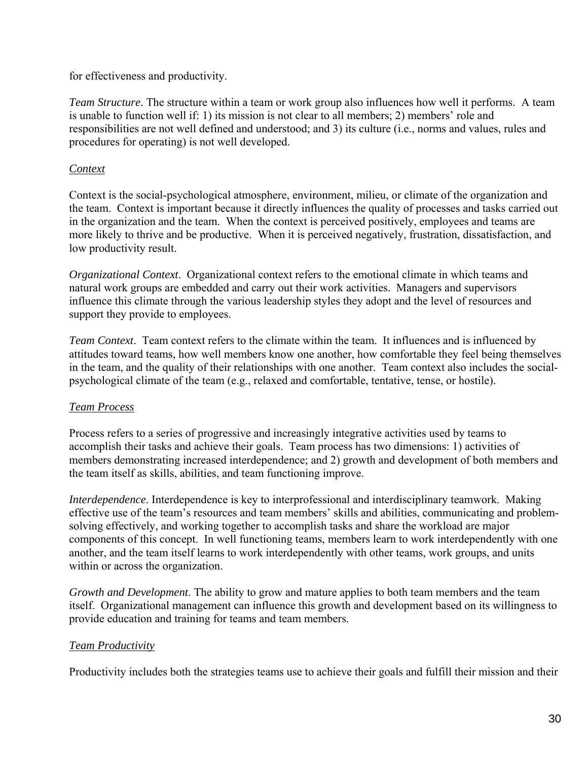for effectiveness and productivity.

*Team Structure*. The structure within a team or work group also influences how well it performs. A team is unable to function well if: 1) its mission is not clear to all members; 2) members' role and responsibilities are not well defined and understood; and 3) its culture (i.e., norms and values, rules and procedures for operating) is not well developed.

#### *Context*

Context is the social-psychological atmosphere, environment, milieu, or climate of the organization and the team. Context is important because it directly influences the quality of processes and tasks carried out in the organization and the team. When the context is perceived positively, employees and teams are more likely to thrive and be productive. When it is perceived negatively, frustration, dissatisfaction, and low productivity result.

*Organizational Context*. Organizational context refers to the emotional climate in which teams and natural work groups are embedded and carry out their work activities. Managers and supervisors influence this climate through the various leadership styles they adopt and the level of resources and support they provide to employees.

*Team Context*. Team context refers to the climate within the team. It influences and is influenced by attitudes toward teams, how well members know one another, how comfortable they feel being themselves in the team, and the quality of their relationships with one another. Team context also includes the socialpsychological climate of the team (e.g., relaxed and comfortable, tentative, tense, or hostile).

# *Team Process*

Process refers to a series of progressive and increasingly integrative activities used by teams to accomplish their tasks and achieve their goals. Team process has two dimensions: 1) activities of members demonstrating increased interdependence; and 2) growth and development of both members and the team itself as skills, abilities, and team functioning improve.

*Interdependence*. Interdependence is key to interprofessional and interdisciplinary teamwork. Making effective use of the team's resources and team members' skills and abilities, communicating and problemsolving effectively, and working together to accomplish tasks and share the workload are major components of this concept. In well functioning teams, members learn to work interdependently with one another, and the team itself learns to work interdependently with other teams, work groups, and units within or across the organization.

*Growth and Development*. The ability to grow and mature applies to both team members and the team itself. Organizational management can influence this growth and development based on its willingness to provide education and training for teams and team members.

# *Team Productivity*

Productivity includes both the strategies teams use to achieve their goals and fulfill their mission and their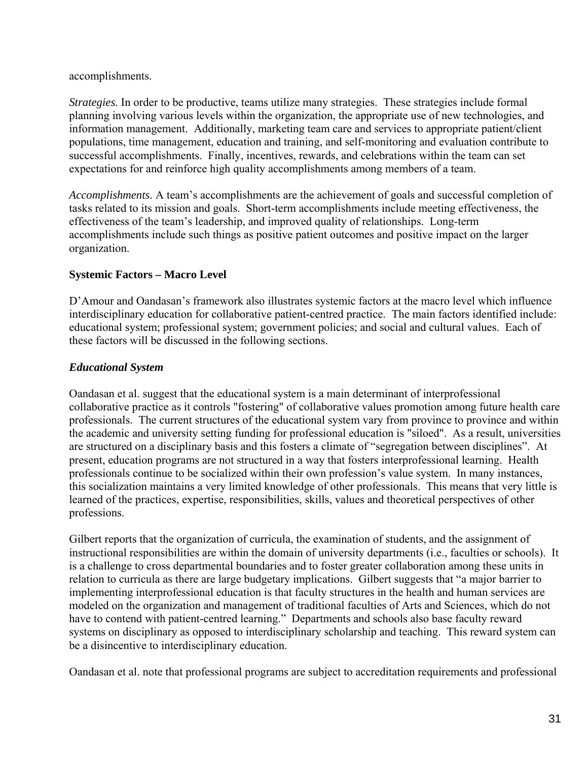accomplishments.

*Strategies.* In order to be productive, teams utilize many strategies. These strategies include formal planning involving various levels within the organization, the appropriate use of new technologies, and information management. Additionally, marketing team care and services to appropriate patient/client populations, time management, education and training, and self-monitoring and evaluation contribute to successful accomplishments. Finally, incentives, rewards, and celebrations within the team can set expectations for and reinforce high quality accomplishments among members of a team.

*Accomplishments*. A team's accomplishments are the achievement of goals and successful completion of tasks related to its mission and goals. Short-term accomplishments include meeting effectiveness, the effectiveness of the team's leadership, and improved quality of relationships. Long-term accomplishments include such things as positive patient outcomes and positive impact on the larger organization.

#### **Systemic Factors – Macro Level**

D'Amour and Oandasan's framework also illustrates systemic factors at the macro level which influence interdisciplinary education for collaborative patient-centred practice. The main factors identified include: educational system; professional system; government policies; and social and cultural values. Each of these factors will be discussed in the following sections.

#### *Educational System*

Oandasan et al. suggest that the educational system is a main determinant of interprofessional collaborative practice as it controls "fostering" of collaborative values promotion among future health care professionals. The current structures of the educational system vary from province to province and within the academic and university setting funding for professional education is "siloed". As a result, universities are structured on a disciplinary basis and this fosters a climate of "segregation between disciplines". At present, education programs are not structured in a way that fosters interprofessional learning. Health professionals continue to be socialized within their own profession's value system. In many instances, this socialization maintains a very limited knowledge of other professionals. This means that very little is learned of the practices, expertise, responsibilities, skills, values and theoretical perspectives of other professions.

Gilbert reports that the organization of curricula, the examination of students, and the assignment of instructional responsibilities are within the domain of university departments (i.e., faculties or schools). It is a challenge to cross departmental boundaries and to foster greater collaboration among these units in relation to curricula as there are large budgetary implications. Gilbert suggests that "a major barrier to implementing interprofessional education is that faculty structures in the health and human services are modeled on the organization and management of traditional faculties of Arts and Sciences, which do not have to contend with patient-centred learning." Departments and schools also base faculty reward systems on disciplinary as opposed to interdisciplinary scholarship and teaching. This reward system can be a disincentive to interdisciplinary education.

Oandasan et al. note that professional programs are subject to accreditation requirements and professional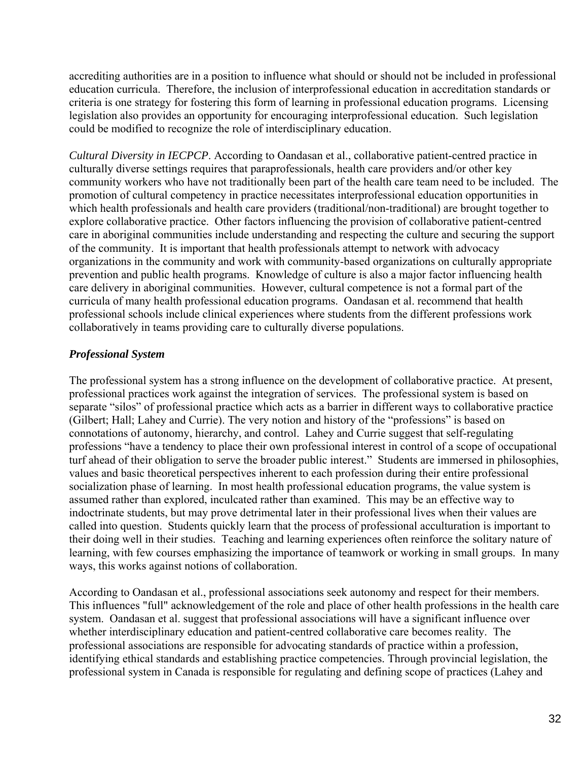accrediting authorities are in a position to influence what should or should not be included in professional education curricula. Therefore, the inclusion of interprofessional education in accreditation standards or criteria is one strategy for fostering this form of learning in professional education programs. Licensing legislation also provides an opportunity for encouraging interprofessional education. Such legislation could be modified to recognize the role of interdisciplinary education.

*Cultural Diversity in IECPCP*. According to Oandasan et al., collaborative patient-centred practice in culturally diverse settings requires that paraprofessionals, health care providers and/or other key community workers who have not traditionally been part of the health care team need to be included. The promotion of cultural competency in practice necessitates interprofessional education opportunities in which health professionals and health care providers (traditional/non-traditional) are brought together to explore collaborative practice. Other factors influencing the provision of collaborative patient-centred care in aboriginal communities include understanding and respecting the culture and securing the support of the community. It is important that health professionals attempt to network with advocacy organizations in the community and work with community-based organizations on culturally appropriate prevention and public health programs. Knowledge of culture is also a major factor influencing health care delivery in aboriginal communities. However, cultural competence is not a formal part of the curricula of many health professional education programs. Oandasan et al. recommend that health professional schools include clinical experiences where students from the different professions work collaboratively in teams providing care to culturally diverse populations.

#### *Professional System*

The professional system has a strong influence on the development of collaborative practice. At present, professional practices work against the integration of services. The professional system is based on separate "silos" of professional practice which acts as a barrier in different ways to collaborative practice (Gilbert; Hall; Lahey and Currie). The very notion and history of the "professions" is based on connotations of autonomy, hierarchy, and control. Lahey and Currie suggest that self-regulating professions "have a tendency to place their own professional interest in control of a scope of occupational turf ahead of their obligation to serve the broader public interest." Students are immersed in philosophies, values and basic theoretical perspectives inherent to each profession during their entire professional socialization phase of learning. In most health professional education programs, the value system is assumed rather than explored, inculcated rather than examined. This may be an effective way to indoctrinate students, but may prove detrimental later in their professional lives when their values are called into question. Students quickly learn that the process of professional acculturation is important to their doing well in their studies. Teaching and learning experiences often reinforce the solitary nature of learning, with few courses emphasizing the importance of teamwork or working in small groups. In many ways, this works against notions of collaboration.

According to Oandasan et al., professional associations seek autonomy and respect for their members. This influences "full" acknowledgement of the role and place of other health professions in the health care system. Oandasan et al. suggest that professional associations will have a significant influence over whether interdisciplinary education and patient-centred collaborative care becomes reality. The professional associations are responsible for advocating standards of practice within a profession, identifying ethical standards and establishing practice competencies. Through provincial legislation, the professional system in Canada is responsible for regulating and defining scope of practices (Lahey and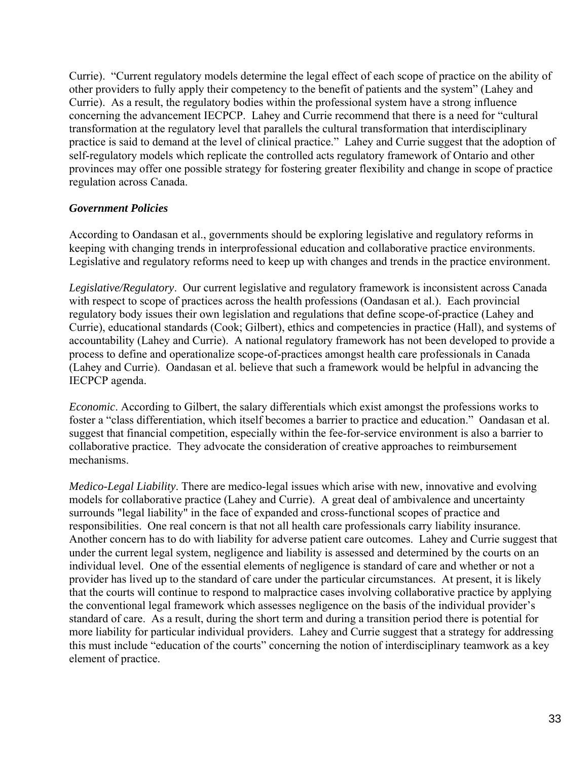Currie). "Current regulatory models determine the legal effect of each scope of practice on the ability of other providers to fully apply their competency to the benefit of patients and the system" (Lahey and Currie). As a result, the regulatory bodies within the professional system have a strong influence concerning the advancement IECPCP. Lahey and Currie recommend that there is a need for "cultural transformation at the regulatory level that parallels the cultural transformation that interdisciplinary practice is said to demand at the level of clinical practice." Lahey and Currie suggest that the adoption of self-regulatory models which replicate the controlled acts regulatory framework of Ontario and other provinces may offer one possible strategy for fostering greater flexibility and change in scope of practice regulation across Canada.

#### *Government Policies*

According to Oandasan et al., governments should be exploring legislative and regulatory reforms in keeping with changing trends in interprofessional education and collaborative practice environments. Legislative and regulatory reforms need to keep up with changes and trends in the practice environment.

*Legislative/Regulatory*. Our current legislative and regulatory framework is inconsistent across Canada with respect to scope of practices across the health professions (Oandasan et al.). Each provincial regulatory body issues their own legislation and regulations that define scope-of-practice (Lahey and Currie), educational standards (Cook; Gilbert), ethics and competencies in practice (Hall), and systems of accountability (Lahey and Currie). A national regulatory framework has not been developed to provide a process to define and operationalize scope-of-practices amongst health care professionals in Canada (Lahey and Currie). Oandasan et al. believe that such a framework would be helpful in advancing the IECPCP agenda.

*Economic*. According to Gilbert, the salary differentials which exist amongst the professions works to foster a "class differentiation, which itself becomes a barrier to practice and education." Oandasan et al. suggest that financial competition, especially within the fee-for-service environment is also a barrier to collaborative practice. They advocate the consideration of creative approaches to reimbursement mechanisms.

*Medico-Legal Liability*. There are medico-legal issues which arise with new, innovative and evolving models for collaborative practice (Lahey and Currie). A great deal of ambivalence and uncertainty surrounds "legal liability" in the face of expanded and cross-functional scopes of practice and responsibilities. One real concern is that not all health care professionals carry liability insurance. Another concern has to do with liability for adverse patient care outcomes. Lahey and Currie suggest that under the current legal system, negligence and liability is assessed and determined by the courts on an individual level. One of the essential elements of negligence is standard of care and whether or not a provider has lived up to the standard of care under the particular circumstances. At present, it is likely that the courts will continue to respond to malpractice cases involving collaborative practice by applying the conventional legal framework which assesses negligence on the basis of the individual provider's standard of care. As a result, during the short term and during a transition period there is potential for more liability for particular individual providers. Lahey and Currie suggest that a strategy for addressing this must include "education of the courts" concerning the notion of interdisciplinary teamwork as a key element of practice.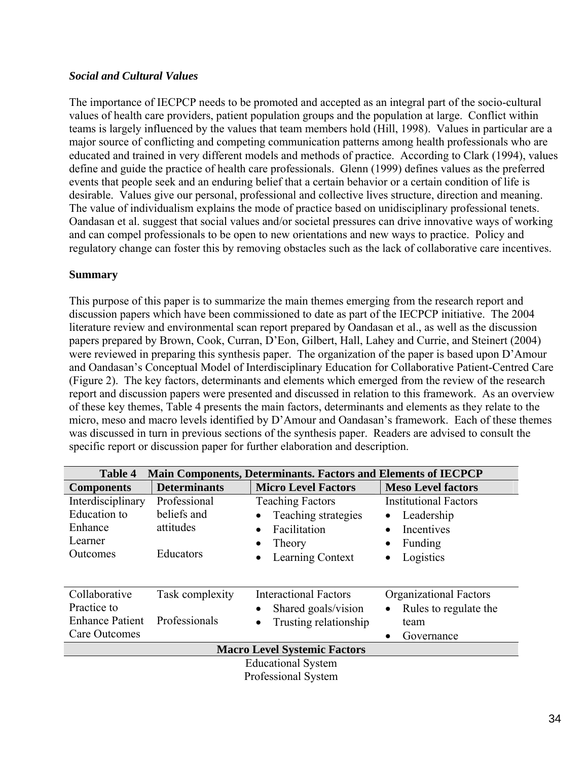#### *Social and Cultural Values*

The importance of IECPCP needs to be promoted and accepted as an integral part of the socio-cultural values of health care providers, patient population groups and the population at large. Conflict within teams is largely influenced by the values that team members hold (Hill, 1998). Values in particular are a major source of conflicting and competing communication patterns among health professionals who are educated and trained in very different models and methods of practice. According to Clark (1994), values define and guide the practice of health care professionals. Glenn (1999) defines values as the preferred events that people seek and an enduring belief that a certain behavior or a certain condition of life is desirable. Values give our personal, professional and collective lives structure, direction and meaning. The value of individualism explains the mode of practice based on unidisciplinary professional tenets. Oandasan et al. suggest that social values and/or societal pressures can drive innovative ways of working and can compel professionals to be open to new orientations and new ways to practice. Policy and regulatory change can foster this by removing obstacles such as the lack of collaborative care incentives.

#### **Summary**

This purpose of this paper is to summarize the main themes emerging from the research report and discussion papers which have been commissioned to date as part of the IECPCP initiative. The 2004 literature review and environmental scan report prepared by Oandasan et al., as well as the discussion papers prepared by Brown, Cook, Curran, D'Eon, Gilbert, Hall, Lahey and Currie, and Steinert (2004) were reviewed in preparing this synthesis paper. The organization of the paper is based upon D'Amour and Oandasan's Conceptual Model of Interdisciplinary Education for Collaborative Patient-Centred Care (Figure 2). The key factors, determinants and elements which emerged from the review of the research report and discussion papers were presented and discussed in relation to this framework. As an overview of these key themes, Table 4 presents the main factors, determinants and elements as they relate to the micro, meso and macro levels identified by D'Amour and Oandasan's framework. Each of these themes was discussed in turn in previous sections of the synthesis paper. Readers are advised to consult the specific report or discussion paper for further elaboration and description.

| <b>Table 4</b><br>Main Components, Determinants. Factors and Elements of IECPCP |                     |                                    |                               |  |  |
|---------------------------------------------------------------------------------|---------------------|------------------------------------|-------------------------------|--|--|
| <b>Components</b>                                                               | <b>Determinants</b> | <b>Micro Level Factors</b>         | <b>Meso Level factors</b>     |  |  |
| Interdisciplinary                                                               | Professional        | <b>Teaching Factors</b>            | <b>Institutional Factors</b>  |  |  |
| Education to                                                                    | beliefs and         | Teaching strategies                | Leadership<br>$\bullet$       |  |  |
| Enhance                                                                         | attitudes           | Facilitation<br>$\bullet$          | Incentives<br>$\bullet$       |  |  |
| Learner                                                                         |                     | Theory<br>٠                        | Funding<br>$\bullet$          |  |  |
| Outcomes                                                                        | Educators           | Learning Context<br>$\bullet$      | Logistics<br>$\bullet$        |  |  |
|                                                                                 |                     |                                    |                               |  |  |
| Collaborative                                                                   | Task complexity     | <b>Interactional Factors</b>       | <b>Organizational Factors</b> |  |  |
| Practice to                                                                     |                     | Shared goals/vision                | Rules to regulate the         |  |  |
| <b>Enhance Patient</b>                                                          | Professionals       | Trusting relationship<br>$\bullet$ | team                          |  |  |
| Care Outcomes                                                                   |                     |                                    | Governance                    |  |  |
| <b>Macro Level Systemic Factors</b>                                             |                     |                                    |                               |  |  |
|                                                                                 |                     | <b>Educational System</b>          |                               |  |  |
| Professional System                                                             |                     |                                    |                               |  |  |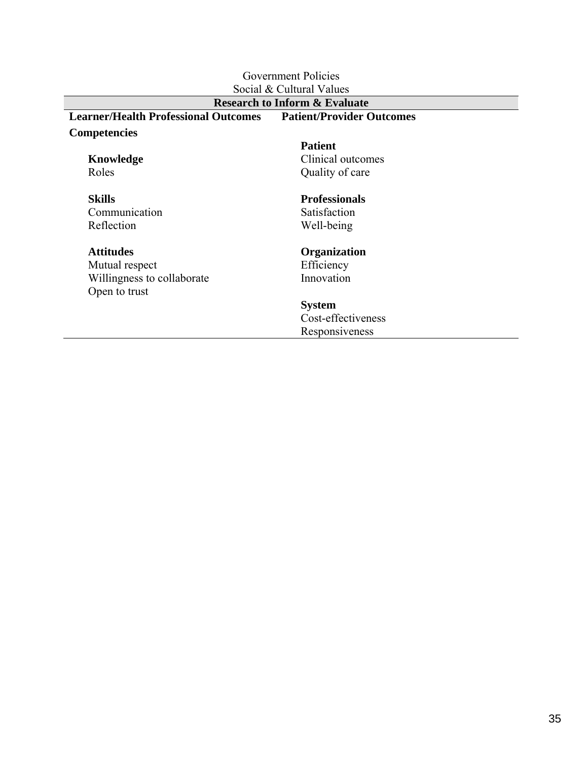| <b>Research to Inform &amp; Evaluate</b>    |                                  |  |
|---------------------------------------------|----------------------------------|--|
| <b>Learner/Health Professional Outcomes</b> | <b>Patient/Provider Outcomes</b> |  |
| <b>Competencies</b>                         |                                  |  |
|                                             | <b>Patient</b>                   |  |
| Knowledge                                   | Clinical outcomes                |  |
| Roles                                       | Quality of care                  |  |
| <b>Skills</b>                               | <b>Professionals</b>             |  |
| Communication                               | Satisfaction                     |  |
| Reflection                                  | Well-being                       |  |
| <b>Attitudes</b>                            | Organization                     |  |
| Mutual respect                              | Efficiency                       |  |
| Willingness to collaborate                  | Innovation                       |  |
| Open to trust                               |                                  |  |
|                                             | <b>System</b>                    |  |
|                                             | Cost-effectiveness               |  |
|                                             | Responsiveness                   |  |

# Government Policies Social & Cultural Values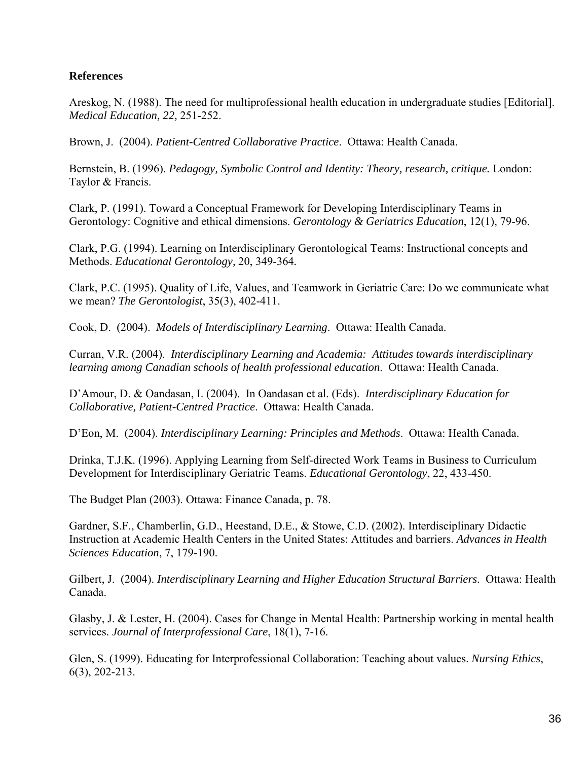#### **References**

Areskog, N. (1988). The need for multiprofessional health education in undergraduate studies [Editorial]. *Medical Education, 22,* 251-252.

Brown, J. (2004). *Patient-Centred Collaborative Practice*. Ottawa: Health Canada.

Bernstein, B. (1996). *Pedagogy, Symbolic Control and Identity: Theory, research, critique.* London: Taylor & Francis.

Clark, P. (1991). Toward a Conceptual Framework for Developing Interdisciplinary Teams in Gerontology: Cognitive and ethical dimensions. *Gerontology & Geriatrics Education*, 12(1), 79-96.

Clark, P.G. (1994). Learning on Interdisciplinary Gerontological Teams: Instructional concepts and Methods. *Educational Gerontology,* 20, 349-364*.* 

Clark, P.C. (1995). Quality of Life, Values, and Teamwork in Geriatric Care: Do we communicate what we mean? *The Gerontologist*, 35(3), 402-411.

Cook, D. (2004). *Models of Interdisciplinary Learning*. Ottawa: Health Canada.

Curran, V.R. (2004).*Interdisciplinary Learning and Academia: Attitudes towards interdisciplinary learning among Canadian schools of health professional education*. Ottawa: Health Canada.

D'Amour, D. & Oandasan, I. (2004). In Oandasan et al. (Eds). *Interdisciplinary Education for Collaborative, Patient-Centred Practice*. Ottawa: Health Canada.

D'Eon, M. (2004). *Interdisciplinary Learning: Principles and Methods*. Ottawa: Health Canada.

Drinka, T.J.K. (1996). Applying Learning from Self-directed Work Teams in Business to Curriculum Development for Interdisciplinary Geriatric Teams. *Educational Gerontology*, 22, 433-450.

The Budget Plan (2003). Ottawa: Finance Canada, p. 78.

Gardner, S.F., Chamberlin, G.D., Heestand, D.E., & Stowe, C.D. (2002). Interdisciplinary Didactic Instruction at Academic Health Centers in the United States: Attitudes and barriers. *Advances in Health Sciences Education*, 7, 179-190.

Gilbert, J. (2004). *Interdisciplinary Learning and Higher Education Structural Barriers*. Ottawa: Health Canada.

Glasby, J. & Lester, H. (2004). Cases for Change in Mental Health: Partnership working in mental health services. *Journal of Interprofessional Care*, 18(1), 7-16.

Glen, S. (1999). Educating for Interprofessional Collaboration: Teaching about values. *Nursing Ethics*, 6(3), 202-213.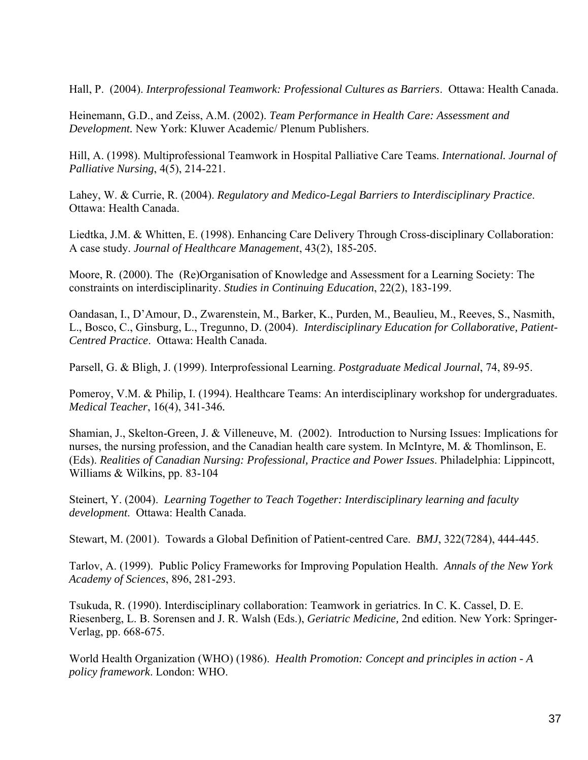Hall, P. (2004). *Interprofessional Teamwork: Professional Cultures as Barriers*. Ottawa: Health Canada.

Heinemann, G.D., and Zeiss, A.M. (2002). *Team Performance in Health Care: Assessment and Development.* New York: Kluwer Academic/ Plenum Publishers.

Hill, A. (1998). Multiprofessional Teamwork in Hospital Palliative Care Teams. *International. Journal of Palliative Nursing*, 4(5), 214-221.

Lahey, W. & Currie, R. (2004). *Regulatory and Medico-Legal Barriers to Interdisciplinary Practice*. Ottawa: Health Canada.

Liedtka, J.M. & Whitten, E. (1998). Enhancing Care Delivery Through Cross-disciplinary Collaboration: A case study. *Journal of Healthcare Management*, 43(2), 185-205*.* 

Moore, R. (2000). The (Re)Organisation of Knowledge and Assessment for a Learning Society: The constraints on interdisciplinarity. *Studies in Continuing Education*, 22(2), 183-199.

Oandasan, I., D'Amour, D., Zwarenstein, M., Barker, K., Purden, M., Beaulieu, M., Reeves, S., Nasmith, L., Bosco, C., Ginsburg, L., Tregunno, D. (2004). *Interdisciplinary Education for Collaborative, Patient-Centred Practice*. Ottawa: Health Canada.

Parsell, G. & Bligh, J. (1999). Interprofessional Learning. *Postgraduate Medical Journal*, 74, 89*-*95.

Pomeroy, V.M. & Philip, I. (1994). Healthcare Teams: An interdisciplinary workshop for undergraduates. *Medical Teacher*, 16(4), 341-346*.* 

Shamian, J., Skelton-Green, J. & Villeneuve, M. (2002). Introduction to Nursing Issues: Implications for nurses, the nursing profession, and the Canadian health care system. In McIntyre, M. & Thomlinson, E. (Eds). *Realities of Canadian Nursing: Professional, Practice and Power Issues*. Philadelphia: Lippincott, Williams & Wilkins, pp. 83-104

Steinert, Y. (2004). *Learning Together to Teach Together: Interdisciplinary learning and faculty development*. Ottawa: Health Canada.

Stewart, M. (2001). Towards a Global Definition of Patient-centred Care. *BMJ*, 322(7284), 444-445.

Tarlov, A. (1999). Public Policy Frameworks for Improving Population Health. *Annals of the New York Academy of Sciences*, 896, 281-293.

Tsukuda, R. (1990). Interdisciplinary collaboration: Teamwork in geriatrics. In C. K. Cassel, D. E. Riesenberg, L. B. Sorensen and J. R. Walsh (Eds.), *Geriatric Medicine,* 2nd edition. New York: Springer-Verlag, pp. 668-675.

World Health Organization (WHO) (1986). *Health Promotion: Concept and principles in action - A policy framework*. London: WHO.